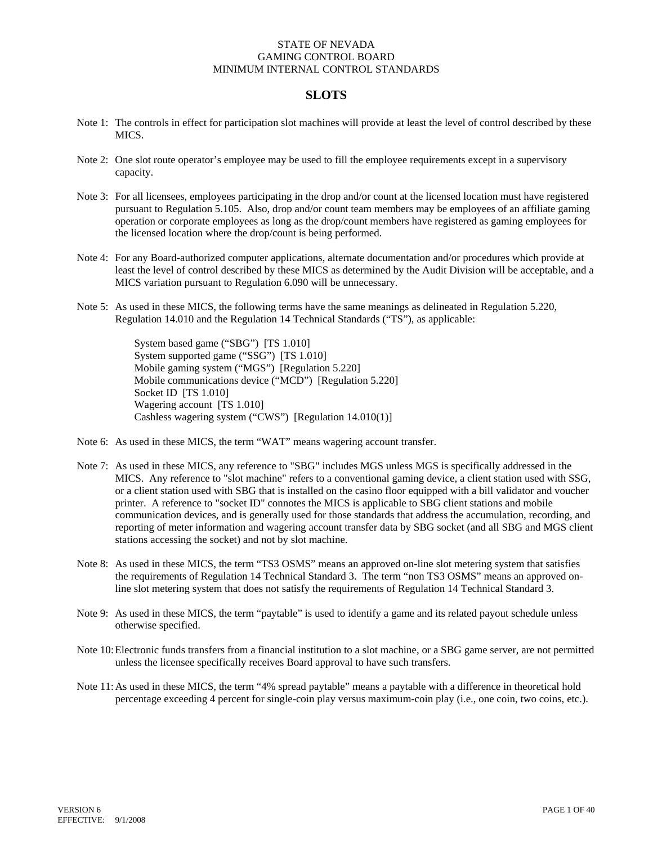## **SLOTS**

- Note 1: The controls in effect for participation slot machines will provide at least the level of control described by these MICS.
- Note 2: One slot route operator's employee may be used to fill the employee requirements except in a supervisory capacity.
- Note 3: For all licensees, employees participating in the drop and/or count at the licensed location must have registered pursuant to Regulation 5.105. Also, drop and/or count team members may be employees of an affiliate gaming operation or corporate employees as long as the drop/count members have registered as gaming employees for the licensed location where the drop/count is being performed.
- Note 4: For any Board-authorized computer applications, alternate documentation and/or procedures which provide at least the level of control described by these MICS as determined by the Audit Division will be acceptable, and a MICS variation pursuant to Regulation 6.090 will be unnecessary.
- Note 5: As used in these MICS, the following terms have the same meanings as delineated in Regulation 5.220, Regulation 14.010 and the Regulation 14 Technical Standards ("TS"), as applicable:

System based game ("SBG") [TS 1.010] System supported game ("SSG") [TS 1.010] Mobile gaming system ("MGS") [Regulation 5.220] Mobile communications device ("MCD") [Regulation 5.220] Socket ID [TS 1.010] Wagering account [TS 1.010] Cashless wagering system ("CWS") [Regulation 14.010(1)]

- Note 6: As used in these MICS, the term "WAT" means wagering account transfer.
- Note 7: As used in these MICS, any reference to "SBG" includes MGS unless MGS is specifically addressed in the MICS. Any reference to "slot machine" refers to a conventional gaming device, a client station used with SSG, or a client station used with SBG that is installed on the casino floor equipped with a bill validator and voucher printer. A reference to "socket ID" connotes the MICS is applicable to SBG client stations and mobile communication devices, and is generally used for those standards that address the accumulation, recording, and reporting of meter information and wagering account transfer data by SBG socket (and all SBG and MGS client stations accessing the socket) and not by slot machine.
- Note 8: As used in these MICS, the term "TS3 OSMS" means an approved on-line slot metering system that satisfies the requirements of Regulation 14 Technical Standard 3. The term "non TS3 OSMS" means an approved online slot metering system that does not satisfy the requirements of Regulation 14 Technical Standard 3.
- Note 9: As used in these MICS, the term "paytable" is used to identify a game and its related payout schedule unless otherwise specified.
- Note 10: Electronic funds transfers from a financial institution to a slot machine, or a SBG game server, are not permitted unless the licensee specifically receives Board approval to have such transfers.
- Note 11: As used in these MICS, the term "4% spread paytable" means a paytable with a difference in theoretical hold percentage exceeding 4 percent for single-coin play versus maximum-coin play (i.e., one coin, two coins, etc.).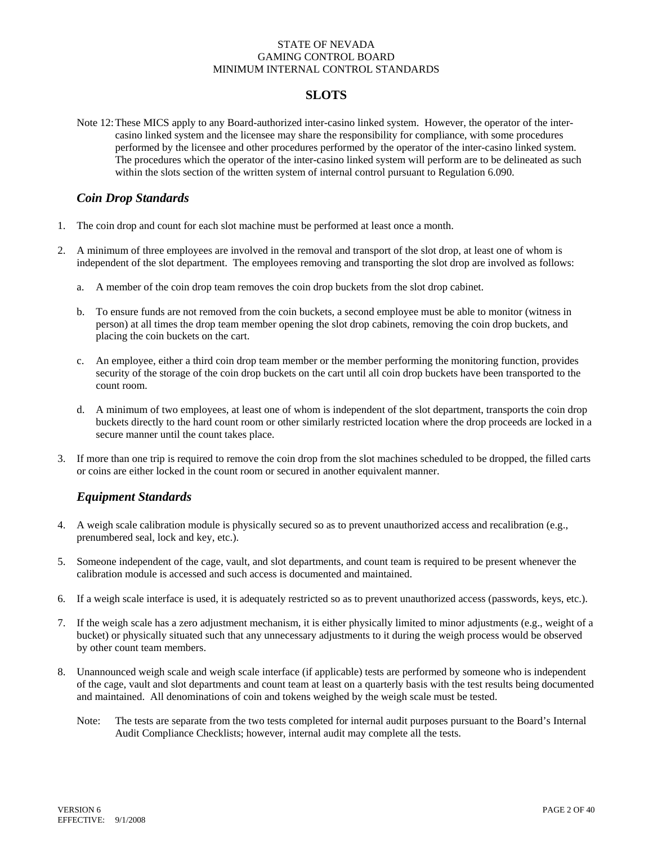## **SLOTS**

Note 12: These MICS apply to any Board-authorized inter-casino linked system. However, the operator of the intercasino linked system and the licensee may share the responsibility for compliance, with some procedures performed by the licensee and other procedures performed by the operator of the inter-casino linked system. The procedures which the operator of the inter-casino linked system will perform are to be delineated as such within the slots section of the written system of internal control pursuant to Regulation 6.090.

### *Coin Drop Standards*

- 1. The coin drop and count for each slot machine must be performed at least once a month.
- 2. A minimum of three employees are involved in the removal and transport of the slot drop, at least one of whom is independent of the slot department. The employees removing and transporting the slot drop are involved as follows:
	- a. A member of the coin drop team removes the coin drop buckets from the slot drop cabinet.
	- b. To ensure funds are not removed from the coin buckets, a second employee must be able to monitor (witness in person) at all times the drop team member opening the slot drop cabinets, removing the coin drop buckets, and placing the coin buckets on the cart.
	- c. An employee, either a third coin drop team member or the member performing the monitoring function, provides security of the storage of the coin drop buckets on the cart until all coin drop buckets have been transported to the count room.
	- d. A minimum of two employees, at least one of whom is independent of the slot department, transports the coin drop buckets directly to the hard count room or other similarly restricted location where the drop proceeds are locked in a secure manner until the count takes place.
- 3. If more than one trip is required to remove the coin drop from the slot machines scheduled to be dropped, the filled carts or coins are either locked in the count room or secured in another equivalent manner.

# *Equipment Standards*

- 4. A weigh scale calibration module is physically secured so as to prevent unauthorized access and recalibration (e.g., prenumbered seal, lock and key, etc.).
- 5. Someone independent of the cage, vault, and slot departments, and count team is required to be present whenever the calibration module is accessed and such access is documented and maintained.
- 6. If a weigh scale interface is used, it is adequately restricted so as to prevent unauthorized access (passwords, keys, etc.).
- 7. If the weigh scale has a zero adjustment mechanism, it is either physically limited to minor adjustments (e.g., weight of a bucket) or physically situated such that any unnecessary adjustments to it during the weigh process would be observed by other count team members.
- 8. Unannounced weigh scale and weigh scale interface (if applicable) tests are performed by someone who is independent of the cage, vault and slot departments and count team at least on a quarterly basis with the test results being documented and maintained. All denominations of coin and tokens weighed by the weigh scale must be tested.
	- Note: The tests are separate from the two tests completed for internal audit purposes pursuant to the Board's Internal Audit Compliance Checklists; however, internal audit may complete all the tests.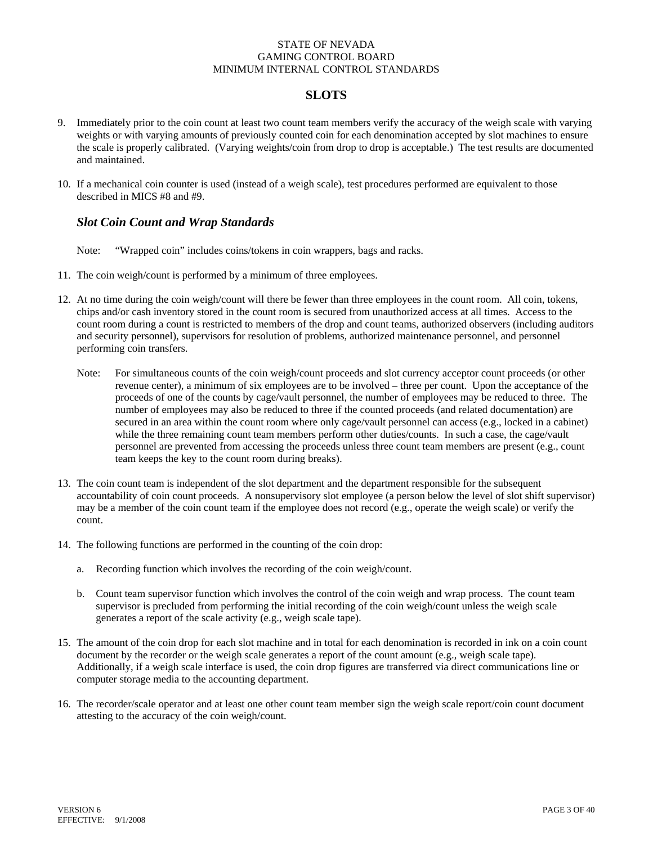# **SLOTS**

- 9. Immediately prior to the coin count at least two count team members verify the accuracy of the weigh scale with varying weights or with varying amounts of previously counted coin for each denomination accepted by slot machines to ensure the scale is properly calibrated. (Varying weights/coin from drop to drop is acceptable.) The test results are documented and maintained.
- 10. If a mechanical coin counter is used (instead of a weigh scale), test procedures performed are equivalent to those described in MICS #8 and #9.

# *Slot Coin Count and Wrap Standards*

- Note: "Wrapped coin" includes coins/tokens in coin wrappers, bags and racks.
- 11. The coin weigh/count is performed by a minimum of three employees.
- 12. At no time during the coin weigh/count will there be fewer than three employees in the count room. All coin, tokens, chips and/or cash inventory stored in the count room is secured from unauthorized access at all times. Access to the count room during a count is restricted to members of the drop and count teams, authorized observers (including auditors and security personnel), supervisors for resolution of problems, authorized maintenance personnel, and personnel performing coin transfers.
	- Note: For simultaneous counts of the coin weigh/count proceeds and slot currency acceptor count proceeds (or other revenue center), a minimum of six employees are to be involved – three per count. Upon the acceptance of the proceeds of one of the counts by cage/vault personnel, the number of employees may be reduced to three. The number of employees may also be reduced to three if the counted proceeds (and related documentation) are secured in an area within the count room where only cage/vault personnel can access (e.g., locked in a cabinet) while the three remaining count team members perform other duties/counts. In such a case, the cage/vault personnel are prevented from accessing the proceeds unless three count team members are present (e.g., count team keeps the key to the count room during breaks).
- 13. The coin count team is independent of the slot department and the department responsible for the subsequent accountability of coin count proceeds. A nonsupervisory slot employee (a person below the level of slot shift supervisor) may be a member of the coin count team if the employee does not record (e.g., operate the weigh scale) or verify the count.
- 14. The following functions are performed in the counting of the coin drop:
	- a. Recording function which involves the recording of the coin weigh/count.
	- b. Count team supervisor function which involves the control of the coin weigh and wrap process. The count team supervisor is precluded from performing the initial recording of the coin weigh/count unless the weigh scale generates a report of the scale activity (e.g., weigh scale tape).
- 15. The amount of the coin drop for each slot machine and in total for each denomination is recorded in ink on a coin count document by the recorder or the weigh scale generates a report of the count amount (e.g., weigh scale tape). Additionally, if a weigh scale interface is used, the coin drop figures are transferred via direct communications line or computer storage media to the accounting department.
- 16. The recorder/scale operator and at least one other count team member sign the weigh scale report/coin count document attesting to the accuracy of the coin weigh/count.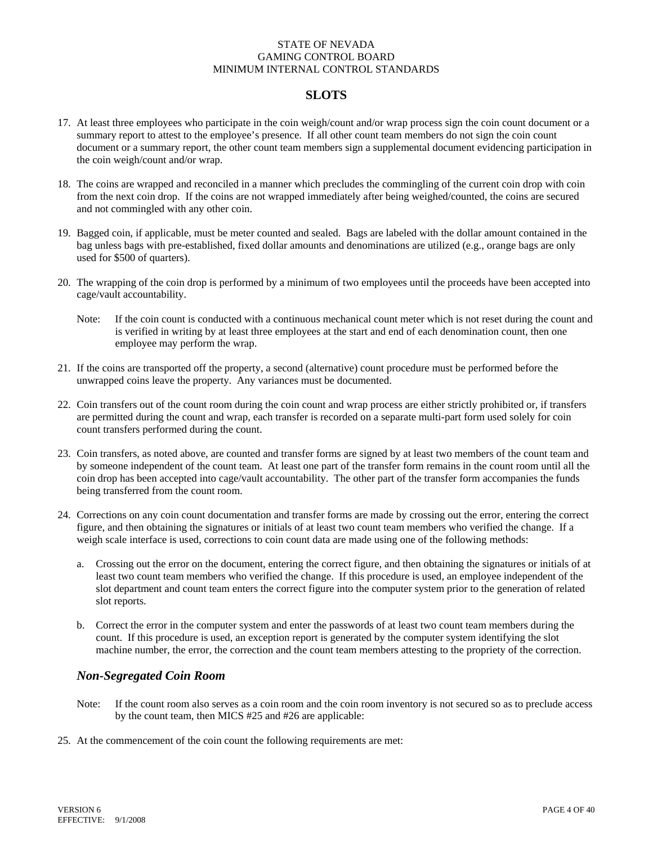# **SLOTS**

- 17. At least three employees who participate in the coin weigh/count and/or wrap process sign the coin count document or a summary report to attest to the employee's presence. If all other count team members do not sign the coin count document or a summary report, the other count team members sign a supplemental document evidencing participation in the coin weigh/count and/or wrap.
- 18. The coins are wrapped and reconciled in a manner which precludes the commingling of the current coin drop with coin from the next coin drop. If the coins are not wrapped immediately after being weighed/counted, the coins are secured and not commingled with any other coin.
- 19. Bagged coin, if applicable, must be meter counted and sealed. Bags are labeled with the dollar amount contained in the bag unless bags with pre-established, fixed dollar amounts and denominations are utilized (e.g., orange bags are only used for \$500 of quarters).
- 20. The wrapping of the coin drop is performed by a minimum of two employees until the proceeds have been accepted into cage/vault accountability.
	- Note: If the coin count is conducted with a continuous mechanical count meter which is not reset during the count and is verified in writing by at least three employees at the start and end of each denomination count, then one employee may perform the wrap.
- 21. If the coins are transported off the property, a second (alternative) count procedure must be performed before the unwrapped coins leave the property. Any variances must be documented.
- 22. Coin transfers out of the count room during the coin count and wrap process are either strictly prohibited or, if transfers are permitted during the count and wrap, each transfer is recorded on a separate multi-part form used solely for coin count transfers performed during the count.
- 23. Coin transfers, as noted above, are counted and transfer forms are signed by at least two members of the count team and by someone independent of the count team. At least one part of the transfer form remains in the count room until all the coin drop has been accepted into cage/vault accountability. The other part of the transfer form accompanies the funds being transferred from the count room.
- 24. Corrections on any coin count documentation and transfer forms are made by crossing out the error, entering the correct figure, and then obtaining the signatures or initials of at least two count team members who verified the change. If a weigh scale interface is used, corrections to coin count data are made using one of the following methods:
	- a. Crossing out the error on the document, entering the correct figure, and then obtaining the signatures or initials of at least two count team members who verified the change. If this procedure is used, an employee independent of the slot department and count team enters the correct figure into the computer system prior to the generation of related slot reports.
	- b. Correct the error in the computer system and enter the passwords of at least two count team members during the count. If this procedure is used, an exception report is generated by the computer system identifying the slot machine number, the error, the correction and the count team members attesting to the propriety of the correction.

### *Non-Segregated Coin Room*

- Note: If the count room also serves as a coin room and the coin room inventory is not secured so as to preclude access by the count team, then MICS #25 and #26 are applicable:
- 25. At the commencement of the coin count the following requirements are met: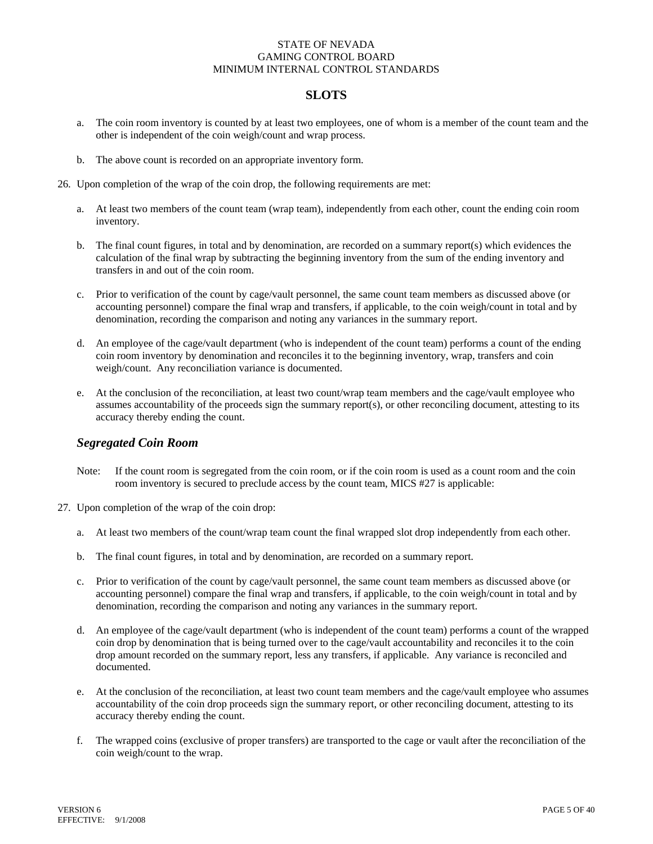# **SLOTS**

- a. The coin room inventory is counted by at least two employees, one of whom is a member of the count team and the other is independent of the coin weigh/count and wrap process.
- b. The above count is recorded on an appropriate inventory form.
- 26. Upon completion of the wrap of the coin drop, the following requirements are met:
	- a. At least two members of the count team (wrap team), independently from each other, count the ending coin room inventory.
	- b. The final count figures, in total and by denomination, are recorded on a summary report(s) which evidences the calculation of the final wrap by subtracting the beginning inventory from the sum of the ending inventory and transfers in and out of the coin room.
	- c. Prior to verification of the count by cage/vault personnel, the same count team members as discussed above (or accounting personnel) compare the final wrap and transfers, if applicable, to the coin weigh/count in total and by denomination, recording the comparison and noting any variances in the summary report.
	- d. An employee of the cage/vault department (who is independent of the count team) performs a count of the ending coin room inventory by denomination and reconciles it to the beginning inventory, wrap, transfers and coin weigh/count. Any reconciliation variance is documented.
	- e. At the conclusion of the reconciliation, at least two count/wrap team members and the cage/vault employee who assumes accountability of the proceeds sign the summary report(s), or other reconciling document, attesting to its accuracy thereby ending the count.

### *Segregated Coin Room*

- Note: If the count room is segregated from the coin room, or if the coin room is used as a count room and the coin room inventory is secured to preclude access by the count team, MICS #27 is applicable:
- 27. Upon completion of the wrap of the coin drop:
	- a. At least two members of the count/wrap team count the final wrapped slot drop independently from each other.
	- b. The final count figures, in total and by denomination, are recorded on a summary report.
	- c. Prior to verification of the count by cage/vault personnel, the same count team members as discussed above (or accounting personnel) compare the final wrap and transfers, if applicable, to the coin weigh/count in total and by denomination, recording the comparison and noting any variances in the summary report.
	- d. An employee of the cage/vault department (who is independent of the count team) performs a count of the wrapped coin drop by denomination that is being turned over to the cage/vault accountability and reconciles it to the coin drop amount recorded on the summary report, less any transfers, if applicable. Any variance is reconciled and documented.
	- e. At the conclusion of the reconciliation, at least two count team members and the cage/vault employee who assumes accountability of the coin drop proceeds sign the summary report, or other reconciling document, attesting to its accuracy thereby ending the count.
	- f. The wrapped coins (exclusive of proper transfers) are transported to the cage or vault after the reconciliation of the coin weigh/count to the wrap.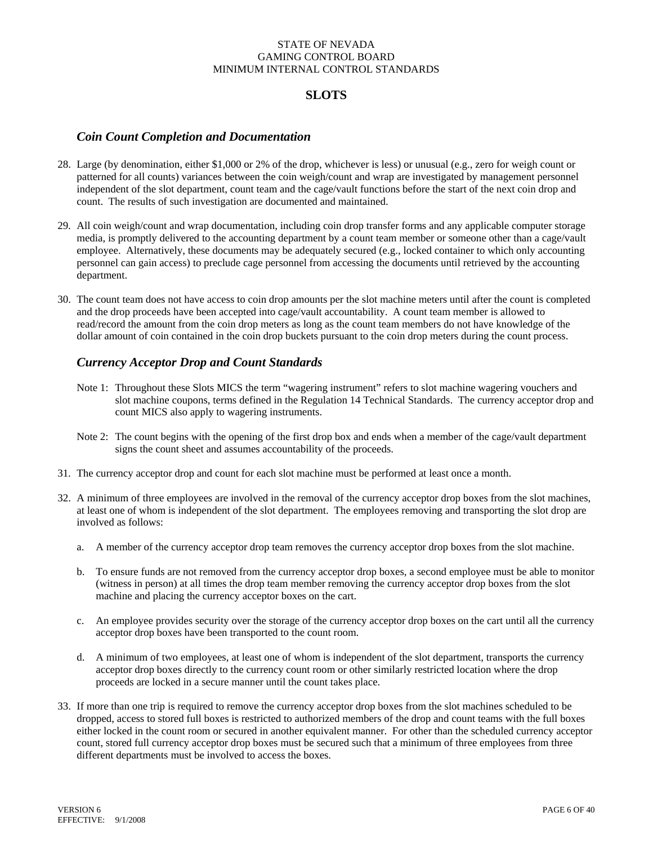# **SLOTS**

### *Coin Count Completion and Documentation*

- 28. Large (by denomination, either \$1,000 or 2% of the drop, whichever is less) or unusual (e.g., zero for weigh count or patterned for all counts) variances between the coin weigh/count and wrap are investigated by management personnel independent of the slot department, count team and the cage/vault functions before the start of the next coin drop and count. The results of such investigation are documented and maintained.
- 29. All coin weigh/count and wrap documentation, including coin drop transfer forms and any applicable computer storage media, is promptly delivered to the accounting department by a count team member or someone other than a cage/vault employee. Alternatively, these documents may be adequately secured (e.g., locked container to which only accounting personnel can gain access) to preclude cage personnel from accessing the documents until retrieved by the accounting department.
- 30. The count team does not have access to coin drop amounts per the slot machine meters until after the count is completed and the drop proceeds have been accepted into cage/vault accountability. A count team member is allowed to read/record the amount from the coin drop meters as long as the count team members do not have knowledge of the dollar amount of coin contained in the coin drop buckets pursuant to the coin drop meters during the count process.

## *Currency Acceptor Drop and Count Standards*

- Note 1: Throughout these Slots MICS the term "wagering instrument" refers to slot machine wagering vouchers and slot machine coupons, terms defined in the Regulation 14 Technical Standards. The currency acceptor drop and count MICS also apply to wagering instruments.
- Note 2: The count begins with the opening of the first drop box and ends when a member of the cage/vault department signs the count sheet and assumes accountability of the proceeds.
- 31. The currency acceptor drop and count for each slot machine must be performed at least once a month.
- 32. A minimum of three employees are involved in the removal of the currency acceptor drop boxes from the slot machines, at least one of whom is independent of the slot department. The employees removing and transporting the slot drop are involved as follows:
	- a. A member of the currency acceptor drop team removes the currency acceptor drop boxes from the slot machine.
	- b. To ensure funds are not removed from the currency acceptor drop boxes, a second employee must be able to monitor (witness in person) at all times the drop team member removing the currency acceptor drop boxes from the slot machine and placing the currency acceptor boxes on the cart.
	- c. An employee provides security over the storage of the currency acceptor drop boxes on the cart until all the currency acceptor drop boxes have been transported to the count room.
	- d. A minimum of two employees, at least one of whom is independent of the slot department, transports the currency acceptor drop boxes directly to the currency count room or other similarly restricted location where the drop proceeds are locked in a secure manner until the count takes place.
- 33. If more than one trip is required to remove the currency acceptor drop boxes from the slot machines scheduled to be dropped, access to stored full boxes is restricted to authorized members of the drop and count teams with the full boxes either locked in the count room or secured in another equivalent manner. For other than the scheduled currency acceptor count, stored full currency acceptor drop boxes must be secured such that a minimum of three employees from three different departments must be involved to access the boxes.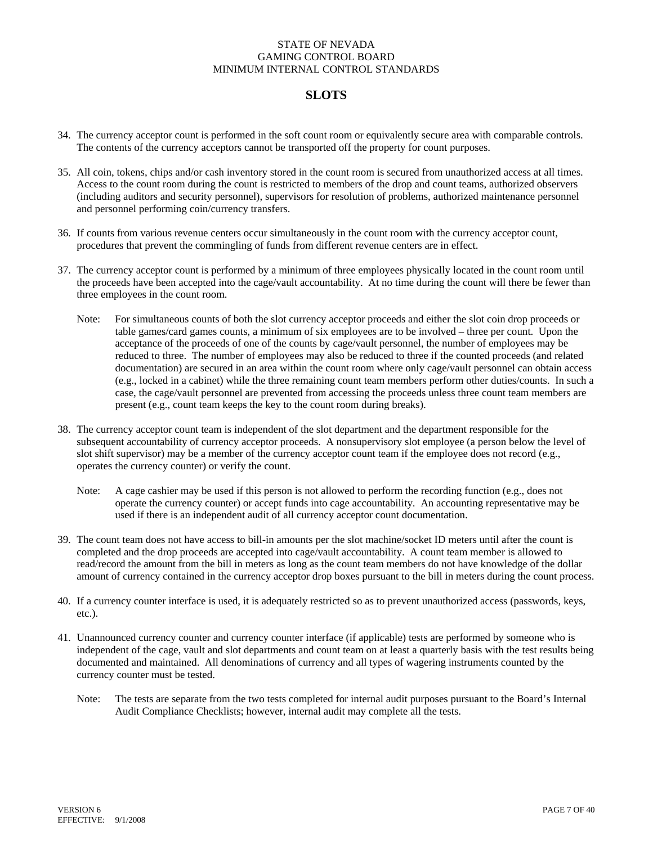## **SLOTS**

- 34. The currency acceptor count is performed in the soft count room or equivalently secure area with comparable controls. The contents of the currency acceptors cannot be transported off the property for count purposes.
- 35. All coin, tokens, chips and/or cash inventory stored in the count room is secured from unauthorized access at all times. Access to the count room during the count is restricted to members of the drop and count teams, authorized observers (including auditors and security personnel), supervisors for resolution of problems, authorized maintenance personnel and personnel performing coin/currency transfers.
- 36. If counts from various revenue centers occur simultaneously in the count room with the currency acceptor count, procedures that prevent the commingling of funds from different revenue centers are in effect.
- 37. The currency acceptor count is performed by a minimum of three employees physically located in the count room until the proceeds have been accepted into the cage/vault accountability. At no time during the count will there be fewer than three employees in the count room.
	- Note: For simultaneous counts of both the slot currency acceptor proceeds and either the slot coin drop proceeds or table games/card games counts, a minimum of six employees are to be involved – three per count. Upon the acceptance of the proceeds of one of the counts by cage/vault personnel, the number of employees may be reduced to three. The number of employees may also be reduced to three if the counted proceeds (and related documentation) are secured in an area within the count room where only cage/vault personnel can obtain access (e.g., locked in a cabinet) while the three remaining count team members perform other duties/counts. In such a case, the cage/vault personnel are prevented from accessing the proceeds unless three count team members are present (e.g., count team keeps the key to the count room during breaks).
- 38. The currency acceptor count team is independent of the slot department and the department responsible for the subsequent accountability of currency acceptor proceeds. A nonsupervisory slot employee (a person below the level of slot shift supervisor) may be a member of the currency acceptor count team if the employee does not record (e.g., operates the currency counter) or verify the count.
	- Note: A cage cashier may be used if this person is not allowed to perform the recording function (e.g., does not operate the currency counter) or accept funds into cage accountability. An accounting representative may be used if there is an independent audit of all currency acceptor count documentation.
- 39. The count team does not have access to bill-in amounts per the slot machine/socket ID meters until after the count is completed and the drop proceeds are accepted into cage/vault accountability. A count team member is allowed to read/record the amount from the bill in meters as long as the count team members do not have knowledge of the dollar amount of currency contained in the currency acceptor drop boxes pursuant to the bill in meters during the count process.
- 40. If a currency counter interface is used, it is adequately restricted so as to prevent unauthorized access (passwords, keys, etc.).
- 41. Unannounced currency counter and currency counter interface (if applicable) tests are performed by someone who is independent of the cage, vault and slot departments and count team on at least a quarterly basis with the test results being documented and maintained. All denominations of currency and all types of wagering instruments counted by the currency counter must be tested.
	- Note: The tests are separate from the two tests completed for internal audit purposes pursuant to the Board's Internal Audit Compliance Checklists; however, internal audit may complete all the tests.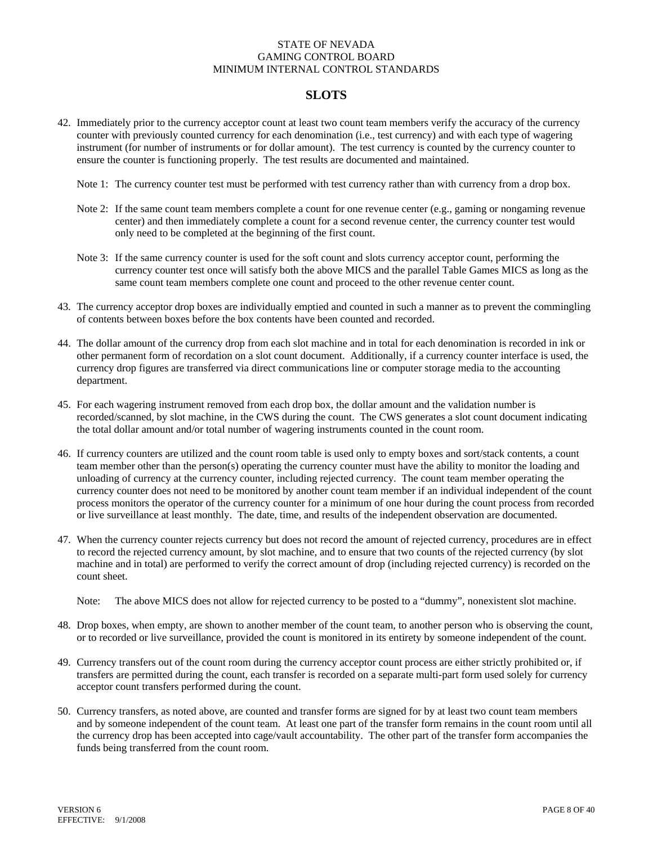# **SLOTS**

- 42. Immediately prior to the currency acceptor count at least two count team members verify the accuracy of the currency counter with previously counted currency for each denomination (i.e., test currency) and with each type of wagering instrument (for number of instruments or for dollar amount). The test currency is counted by the currency counter to ensure the counter is functioning properly. The test results are documented and maintained.
	- Note 1: The currency counter test must be performed with test currency rather than with currency from a drop box.
	- Note 2: If the same count team members complete a count for one revenue center (e.g., gaming or nongaming revenue center) and then immediately complete a count for a second revenue center, the currency counter test would only need to be completed at the beginning of the first count.
	- Note 3: If the same currency counter is used for the soft count and slots currency acceptor count, performing the currency counter test once will satisfy both the above MICS and the parallel Table Games MICS as long as the same count team members complete one count and proceed to the other revenue center count.
- 43. The currency acceptor drop boxes are individually emptied and counted in such a manner as to prevent the commingling of contents between boxes before the box contents have been counted and recorded.
- 44. The dollar amount of the currency drop from each slot machine and in total for each denomination is recorded in ink or other permanent form of recordation on a slot count document. Additionally, if a currency counter interface is used, the currency drop figures are transferred via direct communications line or computer storage media to the accounting department.
- 45. For each wagering instrument removed from each drop box, the dollar amount and the validation number is recorded/scanned, by slot machine, in the CWS during the count. The CWS generates a slot count document indicating the total dollar amount and/or total number of wagering instruments counted in the count room.
- 46. If currency counters are utilized and the count room table is used only to empty boxes and sort/stack contents, a count team member other than the person(s) operating the currency counter must have the ability to monitor the loading and unloading of currency at the currency counter, including rejected currency. The count team member operating the currency counter does not need to be monitored by another count team member if an individual independent of the count process monitors the operator of the currency counter for a minimum of one hour during the count process from recorded or live surveillance at least monthly. The date, time, and results of the independent observation are documented.
- 47. When the currency counter rejects currency but does not record the amount of rejected currency, procedures are in effect to record the rejected currency amount, by slot machine, and to ensure that two counts of the rejected currency (by slot machine and in total) are performed to verify the correct amount of drop (including rejected currency) is recorded on the count sheet.

Note: The above MICS does not allow for rejected currency to be posted to a "dummy", nonexistent slot machine.

- 48. Drop boxes, when empty, are shown to another member of the count team, to another person who is observing the count, or to recorded or live surveillance, provided the count is monitored in its entirety by someone independent of the count.
- 49. Currency transfers out of the count room during the currency acceptor count process are either strictly prohibited or, if transfers are permitted during the count, each transfer is recorded on a separate multi-part form used solely for currency acceptor count transfers performed during the count.
- 50. Currency transfers, as noted above, are counted and transfer forms are signed for by at least two count team members and by someone independent of the count team. At least one part of the transfer form remains in the count room until all the currency drop has been accepted into cage/vault accountability. The other part of the transfer form accompanies the funds being transferred from the count room.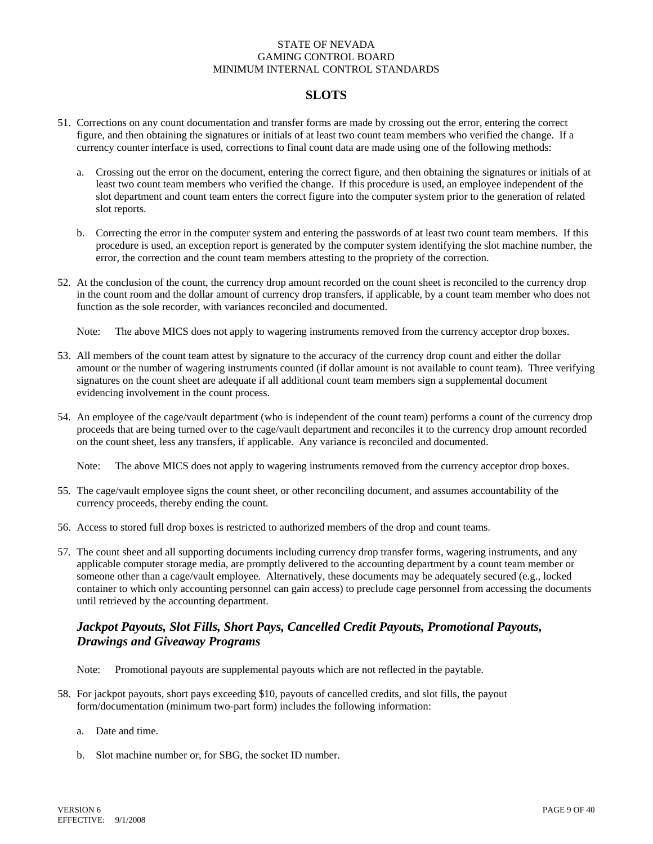## **SLOTS**

- 51. Corrections on any count documentation and transfer forms are made by crossing out the error, entering the correct figure, and then obtaining the signatures or initials of at least two count team members who verified the change. If a currency counter interface is used, corrections to final count data are made using one of the following methods:
	- a. Crossing out the error on the document, entering the correct figure, and then obtaining the signatures or initials of at least two count team members who verified the change. If this procedure is used, an employee independent of the slot department and count team enters the correct figure into the computer system prior to the generation of related slot reports.
	- b. Correcting the error in the computer system and entering the passwords of at least two count team members. If this procedure is used, an exception report is generated by the computer system identifying the slot machine number, the error, the correction and the count team members attesting to the propriety of the correction.
- 52. At the conclusion of the count, the currency drop amount recorded on the count sheet is reconciled to the currency drop in the count room and the dollar amount of currency drop transfers, if applicable, by a count team member who does not function as the sole recorder, with variances reconciled and documented.
	- Note: The above MICS does not apply to wagering instruments removed from the currency acceptor drop boxes.
- 53. All members of the count team attest by signature to the accuracy of the currency drop count and either the dollar amount or the number of wagering instruments counted (if dollar amount is not available to count team). Three verifying signatures on the count sheet are adequate if all additional count team members sign a supplemental document evidencing involvement in the count process.
- 54. An employee of the cage/vault department (who is independent of the count team) performs a count of the currency drop proceeds that are being turned over to the cage/vault department and reconciles it to the currency drop amount recorded on the count sheet, less any transfers, if applicable. Any variance is reconciled and documented.

Note: The above MICS does not apply to wagering instruments removed from the currency acceptor drop boxes.

- 55. The cage/vault employee signs the count sheet, or other reconciling document, and assumes accountability of the currency proceeds, thereby ending the count.
- 56. Access to stored full drop boxes is restricted to authorized members of the drop and count teams.
- 57. The count sheet and all supporting documents including currency drop transfer forms, wagering instruments, and any applicable computer storage media, are promptly delivered to the accounting department by a count team member or someone other than a cage/vault employee. Alternatively, these documents may be adequately secured (e.g., locked container to which only accounting personnel can gain access) to preclude cage personnel from accessing the documents until retrieved by the accounting department.

### *Jackpot Payouts, Slot Fills, Short Pays, Cancelled Credit Payouts, Promotional Payouts, Drawings and Giveaway Programs*

- Note: Promotional payouts are supplemental payouts which are not reflected in the paytable.
- 58. For jackpot payouts, short pays exceeding \$10, payouts of cancelled credits, and slot fills, the payout form/documentation (minimum two-part form) includes the following information:
	- a. Date and time.
	- b. Slot machine number or, for SBG, the socket ID number.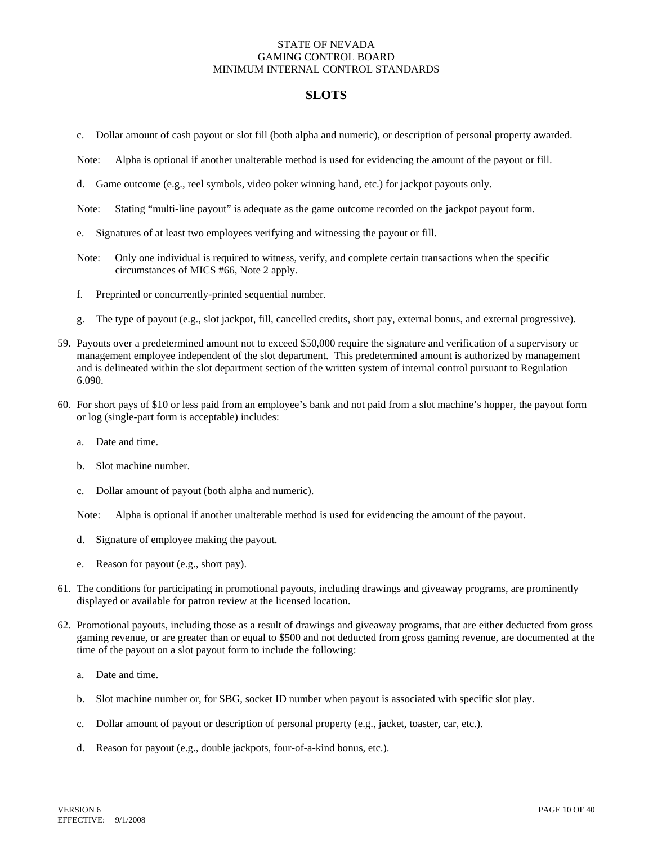### **SLOTS**

- c. Dollar amount of cash payout or slot fill (both alpha and numeric), or description of personal property awarded.
- Note: Alpha is optional if another unalterable method is used for evidencing the amount of the payout or fill.
- d. Game outcome (e.g., reel symbols, video poker winning hand, etc.) for jackpot payouts only.
- Note: Stating "multi-line payout" is adequate as the game outcome recorded on the jackpot payout form.
- e. Signatures of at least two employees verifying and witnessing the payout or fill.
- Note: Only one individual is required to witness, verify, and complete certain transactions when the specific circumstances of MICS #66, Note 2 apply.
- f. Preprinted or concurrently-printed sequential number.
- g. The type of payout (e.g., slot jackpot, fill, cancelled credits, short pay, external bonus, and external progressive).
- 59. Payouts over a predetermined amount not to exceed \$50,000 require the signature and verification of a supervisory or management employee independent of the slot department. This predetermined amount is authorized by management and is delineated within the slot department section of the written system of internal control pursuant to Regulation 6.090.
- 60. For short pays of \$10 or less paid from an employee's bank and not paid from a slot machine's hopper, the payout form or log (single-part form is acceptable) includes:
	- a. Date and time.
	- b. Slot machine number.
	- c. Dollar amount of payout (both alpha and numeric).

Note: Alpha is optional if another unalterable method is used for evidencing the amount of the payout.

- d. Signature of employee making the payout.
- e. Reason for payout (e.g., short pay).
- 61. The conditions for participating in promotional payouts, including drawings and giveaway programs, are prominently displayed or available for patron review at the licensed location.
- 62. Promotional payouts, including those as a result of drawings and giveaway programs, that are either deducted from gross gaming revenue, or are greater than or equal to \$500 and not deducted from gross gaming revenue, are documented at the time of the payout on a slot payout form to include the following:
	- a. Date and time.
	- b. Slot machine number or, for SBG, socket ID number when payout is associated with specific slot play.
	- c. Dollar amount of payout or description of personal property (e.g., jacket, toaster, car, etc.).
	- d. Reason for payout (e.g., double jackpots, four-of-a-kind bonus, etc.).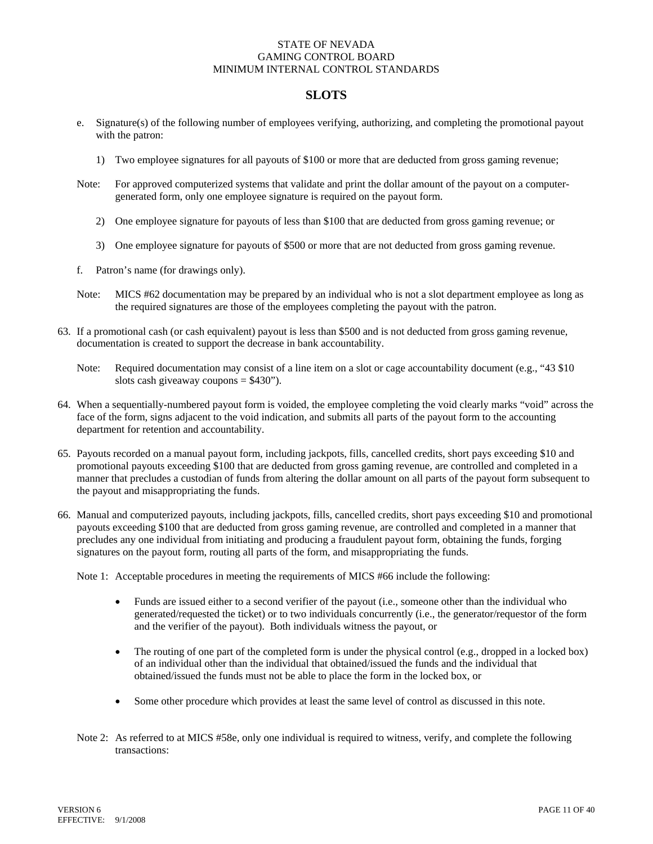### **SLOTS**

- e. Signature(s) of the following number of employees verifying, authorizing, and completing the promotional payout with the patron:
	- 1) Two employee signatures for all payouts of \$100 or more that are deducted from gross gaming revenue;
- Note: For approved computerized systems that validate and print the dollar amount of the payout on a computergenerated form, only one employee signature is required on the payout form.
	- 2) One employee signature for payouts of less than \$100 that are deducted from gross gaming revenue; or
	- 3) One employee signature for payouts of \$500 or more that are not deducted from gross gaming revenue.
- f. Patron's name (for drawings only).
- Note: MICS #62 documentation may be prepared by an individual who is not a slot department employee as long as the required signatures are those of the employees completing the payout with the patron.
- 63. If a promotional cash (or cash equivalent) payout is less than \$500 and is not deducted from gross gaming revenue, documentation is created to support the decrease in bank accountability.
	- Note: Required documentation may consist of a line item on a slot or cage accountability document (e.g., "43 \$10") slots cash giveaway coupons  $= $430$ ").
- 64. When a sequentially-numbered payout form is voided, the employee completing the void clearly marks "void" across the face of the form, signs adjacent to the void indication, and submits all parts of the payout form to the accounting department for retention and accountability.
- 65. Payouts recorded on a manual payout form, including jackpots, fills, cancelled credits, short pays exceeding \$10 and promotional payouts exceeding \$100 that are deducted from gross gaming revenue, are controlled and completed in a manner that precludes a custodian of funds from altering the dollar amount on all parts of the payout form subsequent to the payout and misappropriating the funds.
- 66. Manual and computerized payouts, including jackpots, fills, cancelled credits, short pays exceeding \$10 and promotional payouts exceeding \$100 that are deducted from gross gaming revenue, are controlled and completed in a manner that precludes any one individual from initiating and producing a fraudulent payout form, obtaining the funds, forging signatures on the payout form, routing all parts of the form, and misappropriating the funds.

Note 1: Acceptable procedures in meeting the requirements of MICS #66 include the following:

- Funds are issued either to a second verifier of the payout (i.e., someone other than the individual who generated/requested the ticket) or to two individuals concurrently (i.e., the generator/requestor of the form and the verifier of the payout). Both individuals witness the payout, or
- The routing of one part of the completed form is under the physical control (e.g., dropped in a locked box) of an individual other than the individual that obtained/issued the funds and the individual that obtained/issued the funds must not be able to place the form in the locked box, or
- Some other procedure which provides at least the same level of control as discussed in this note.
- Note 2: As referred to at MICS #58e, only one individual is required to witness, verify, and complete the following transactions: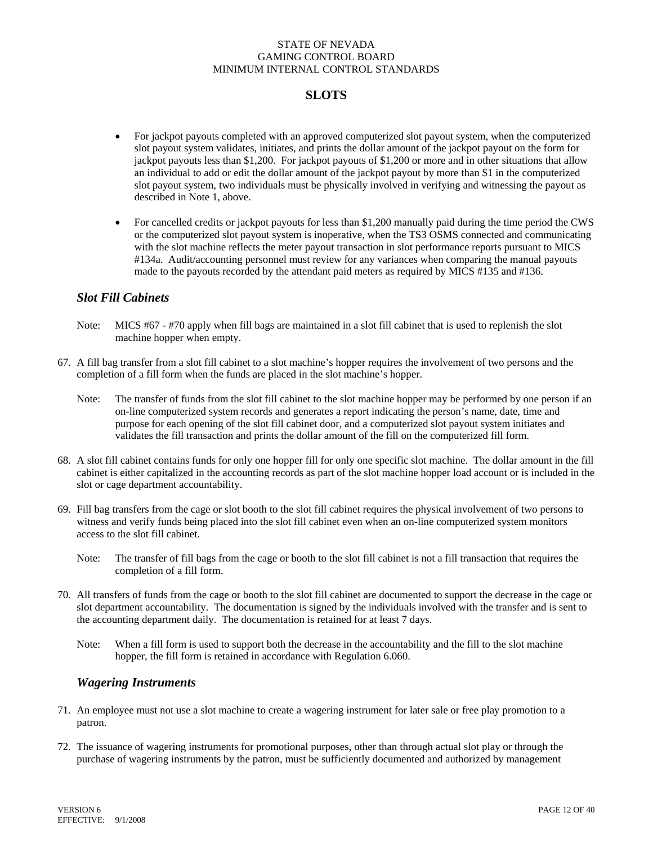# **SLOTS**

- For jackpot payouts completed with an approved computerized slot payout system, when the computerized slot payout system validates, initiates, and prints the dollar amount of the jackpot payout on the form for jackpot payouts less than \$1,200. For jackpot payouts of \$1,200 or more and in other situations that allow an individual to add or edit the dollar amount of the jackpot payout by more than \$1 in the computerized slot payout system, two individuals must be physically involved in verifying and witnessing the payout as described in Note 1, above.
- For cancelled credits or jackpot payouts for less than \$1,200 manually paid during the time period the CWS or the computerized slot payout system is inoperative, when the TS3 OSMS connected and communicating with the slot machine reflects the meter payout transaction in slot performance reports pursuant to MICS #134a. Audit/accounting personnel must review for any variances when comparing the manual payouts made to the payouts recorded by the attendant paid meters as required by MICS #135 and #136.

### *Slot Fill Cabinets*

- Note: MICS #67 #70 apply when fill bags are maintained in a slot fill cabinet that is used to replenish the slot machine hopper when empty.
- 67. A fill bag transfer from a slot fill cabinet to a slot machine's hopper requires the involvement of two persons and the completion of a fill form when the funds are placed in the slot machine's hopper.
	- Note: The transfer of funds from the slot fill cabinet to the slot machine hopper may be performed by one person if an on-line computerized system records and generates a report indicating the person's name, date, time and purpose for each opening of the slot fill cabinet door, and a computerized slot payout system initiates and validates the fill transaction and prints the dollar amount of the fill on the computerized fill form.
- 68. A slot fill cabinet contains funds for only one hopper fill for only one specific slot machine. The dollar amount in the fill cabinet is either capitalized in the accounting records as part of the slot machine hopper load account or is included in the slot or cage department accountability.
- 69. Fill bag transfers from the cage or slot booth to the slot fill cabinet requires the physical involvement of two persons to witness and verify funds being placed into the slot fill cabinet even when an on-line computerized system monitors access to the slot fill cabinet.
	- Note: The transfer of fill bags from the cage or booth to the slot fill cabinet is not a fill transaction that requires the completion of a fill form.
- 70. All transfers of funds from the cage or booth to the slot fill cabinet are documented to support the decrease in the cage or slot department accountability. The documentation is signed by the individuals involved with the transfer and is sent to the accounting department daily. The documentation is retained for at least 7 days.
	- Note: When a fill form is used to support both the decrease in the accountability and the fill to the slot machine hopper, the fill form is retained in accordance with Regulation 6.060.

### *Wagering Instruments*

- 71. An employee must not use a slot machine to create a wagering instrument for later sale or free play promotion to a patron.
- 72. The issuance of wagering instruments for promotional purposes, other than through actual slot play or through the purchase of wagering instruments by the patron, must be sufficiently documented and authorized by management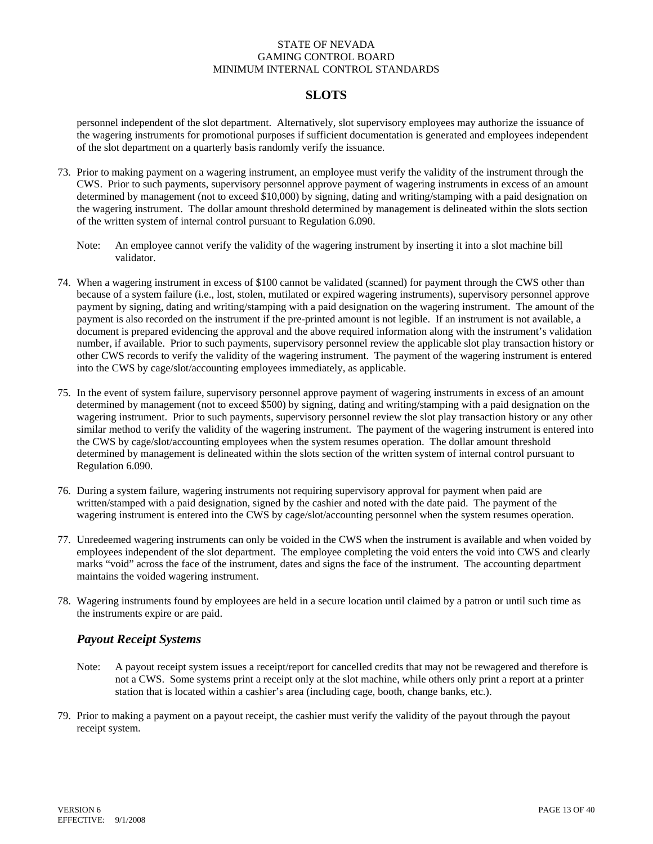## **SLOTS**

personnel independent of the slot department. Alternatively, slot supervisory employees may authorize the issuance of the wagering instruments for promotional purposes if sufficient documentation is generated and employees independent of the slot department on a quarterly basis randomly verify the issuance.

- 73. Prior to making payment on a wagering instrument, an employee must verify the validity of the instrument through the CWS. Prior to such payments, supervisory personnel approve payment of wagering instruments in excess of an amount determined by management (not to exceed \$10,000) by signing, dating and writing/stamping with a paid designation on the wagering instrument. The dollar amount threshold determined by management is delineated within the slots section of the written system of internal control pursuant to Regulation 6.090.
	- Note: An employee cannot verify the validity of the wagering instrument by inserting it into a slot machine bill validator.
- 74. When a wagering instrument in excess of \$100 cannot be validated (scanned) for payment through the CWS other than because of a system failure (i.e., lost, stolen, mutilated or expired wagering instruments), supervisory personnel approve payment by signing, dating and writing/stamping with a paid designation on the wagering instrument. The amount of the payment is also recorded on the instrument if the pre-printed amount is not legible. If an instrument is not available, a document is prepared evidencing the approval and the above required information along with the instrument's validation number, if available. Prior to such payments, supervisory personnel review the applicable slot play transaction history or other CWS records to verify the validity of the wagering instrument. The payment of the wagering instrument is entered into the CWS by cage/slot/accounting employees immediately, as applicable.
- 75. In the event of system failure, supervisory personnel approve payment of wagering instruments in excess of an amount determined by management (not to exceed \$500) by signing, dating and writing/stamping with a paid designation on the wagering instrument. Prior to such payments, supervisory personnel review the slot play transaction history or any other similar method to verify the validity of the wagering instrument. The payment of the wagering instrument is entered into the CWS by cage/slot/accounting employees when the system resumes operation. The dollar amount threshold determined by management is delineated within the slots section of the written system of internal control pursuant to Regulation 6.090.
- 76. During a system failure, wagering instruments not requiring supervisory approval for payment when paid are written/stamped with a paid designation, signed by the cashier and noted with the date paid. The payment of the wagering instrument is entered into the CWS by cage/slot/accounting personnel when the system resumes operation.
- 77. Unredeemed wagering instruments can only be voided in the CWS when the instrument is available and when voided by employees independent of the slot department. The employee completing the void enters the void into CWS and clearly marks "void" across the face of the instrument, dates and signs the face of the instrument. The accounting department maintains the voided wagering instrument.
- 78. Wagering instruments found by employees are held in a secure location until claimed by a patron or until such time as the instruments expire or are paid.

### *Payout Receipt Systems*

- Note: A payout receipt system issues a receipt/report for cancelled credits that may not be rewagered and therefore is not a CWS. Some systems print a receipt only at the slot machine, while others only print a report at a printer station that is located within a cashier's area (including cage, booth, change banks, etc.).
- 79. Prior to making a payment on a payout receipt, the cashier must verify the validity of the payout through the payout receipt system.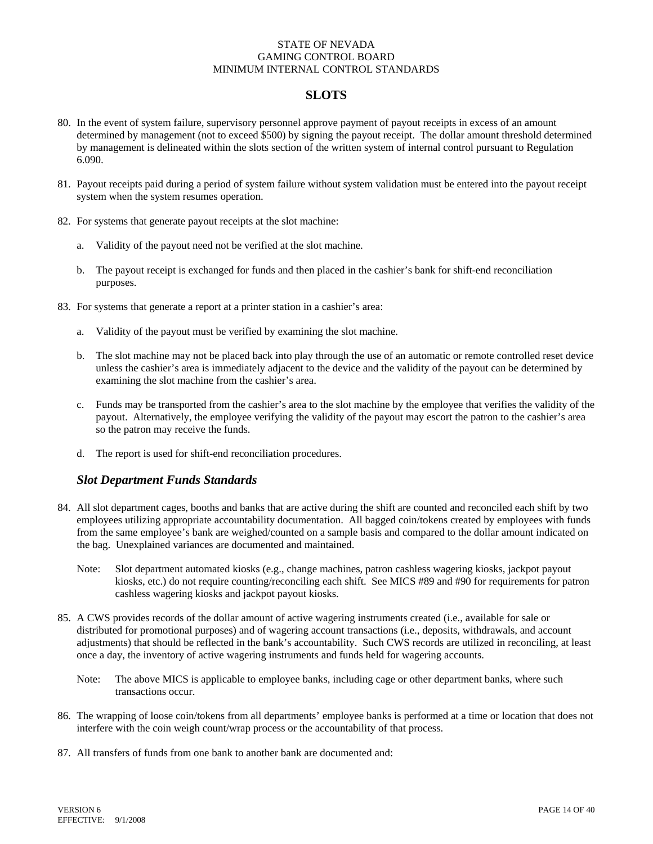# **SLOTS**

- 80. In the event of system failure, supervisory personnel approve payment of payout receipts in excess of an amount determined by management (not to exceed \$500) by signing the payout receipt. The dollar amount threshold determined by management is delineated within the slots section of the written system of internal control pursuant to Regulation 6.090.
- 81. Payout receipts paid during a period of system failure without system validation must be entered into the payout receipt system when the system resumes operation.
- 82. For systems that generate payout receipts at the slot machine:
	- a. Validity of the payout need not be verified at the slot machine.
	- b. The payout receipt is exchanged for funds and then placed in the cashier's bank for shift-end reconciliation purposes.
- 83. For systems that generate a report at a printer station in a cashier's area:
	- a. Validity of the payout must be verified by examining the slot machine.
	- b. The slot machine may not be placed back into play through the use of an automatic or remote controlled reset device unless the cashier's area is immediately adjacent to the device and the validity of the payout can be determined by examining the slot machine from the cashier's area.
	- c. Funds may be transported from the cashier's area to the slot machine by the employee that verifies the validity of the payout. Alternatively, the employee verifying the validity of the payout may escort the patron to the cashier's area so the patron may receive the funds.
	- d. The report is used for shift-end reconciliation procedures.

### *Slot Department Funds Standards*

- 84. All slot department cages, booths and banks that are active during the shift are counted and reconciled each shift by two employees utilizing appropriate accountability documentation. All bagged coin/tokens created by employees with funds from the same employee's bank are weighed/counted on a sample basis and compared to the dollar amount indicated on the bag. Unexplained variances are documented and maintained.
	- Note: Slot department automated kiosks (e.g., change machines, patron cashless wagering kiosks, jackpot payout kiosks, etc.) do not require counting/reconciling each shift. See MICS #89 and #90 for requirements for patron cashless wagering kiosks and jackpot payout kiosks.
- 85. A CWS provides records of the dollar amount of active wagering instruments created (i.e., available for sale or distributed for promotional purposes) and of wagering account transactions (i.e., deposits, withdrawals, and account adjustments) that should be reflected in the bank's accountability. Such CWS records are utilized in reconciling, at least once a day, the inventory of active wagering instruments and funds held for wagering accounts.
	- Note: The above MICS is applicable to employee banks, including cage or other department banks, where such transactions occur.
- 86. The wrapping of loose coin/tokens from all departments' employee banks is performed at a time or location that does not interfere with the coin weigh count/wrap process or the accountability of that process.
- 87. All transfers of funds from one bank to another bank are documented and: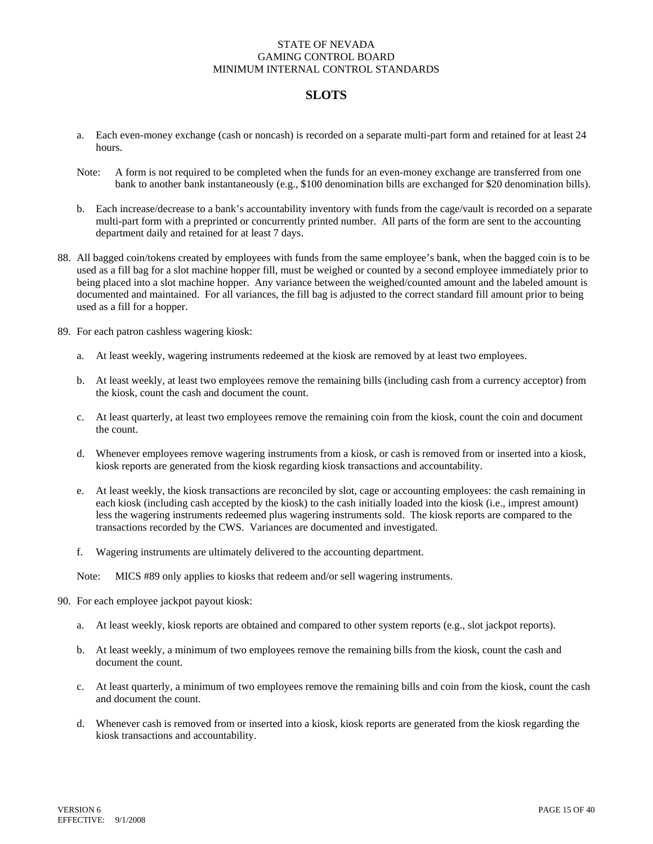# **SLOTS**

- a. Each even-money exchange (cash or noncash) is recorded on a separate multi-part form and retained for at least 24 hours.
- Note: A form is not required to be completed when the funds for an even-money exchange are transferred from one bank to another bank instantaneously (e.g., \$100 denomination bills are exchanged for \$20 denomination bills).
- b. Each increase/decrease to a bank's accountability inventory with funds from the cage/vault is recorded on a separate multi-part form with a preprinted or concurrently printed number. All parts of the form are sent to the accounting department daily and retained for at least 7 days.
- 88. All bagged coin/tokens created by employees with funds from the same employee's bank, when the bagged coin is to be used as a fill bag for a slot machine hopper fill, must be weighed or counted by a second employee immediately prior to being placed into a slot machine hopper. Any variance between the weighed/counted amount and the labeled amount is documented and maintained. For all variances, the fill bag is adjusted to the correct standard fill amount prior to being used as a fill for a hopper.
- 89. For each patron cashless wagering kiosk:
	- a. At least weekly, wagering instruments redeemed at the kiosk are removed by at least two employees.
	- b. At least weekly, at least two employees remove the remaining bills (including cash from a currency acceptor) from the kiosk, count the cash and document the count.
	- c. At least quarterly, at least two employees remove the remaining coin from the kiosk, count the coin and document the count.
	- d. Whenever employees remove wagering instruments from a kiosk, or cash is removed from or inserted into a kiosk, kiosk reports are generated from the kiosk regarding kiosk transactions and accountability.
	- e. At least weekly, the kiosk transactions are reconciled by slot, cage or accounting employees: the cash remaining in each kiosk (including cash accepted by the kiosk) to the cash initially loaded into the kiosk (i.e., imprest amount) less the wagering instruments redeemed plus wagering instruments sold. The kiosk reports are compared to the transactions recorded by the CWS. Variances are documented and investigated.
	- f. Wagering instruments are ultimately delivered to the accounting department.

Note: MICS #89 only applies to kiosks that redeem and/or sell wagering instruments.

- 90. For each employee jackpot payout kiosk:
	- a. At least weekly, kiosk reports are obtained and compared to other system reports (e.g., slot jackpot reports).
	- b. At least weekly, a minimum of two employees remove the remaining bills from the kiosk, count the cash and document the count.
	- c. At least quarterly, a minimum of two employees remove the remaining bills and coin from the kiosk, count the cash and document the count.
	- d. Whenever cash is removed from or inserted into a kiosk, kiosk reports are generated from the kiosk regarding the kiosk transactions and accountability.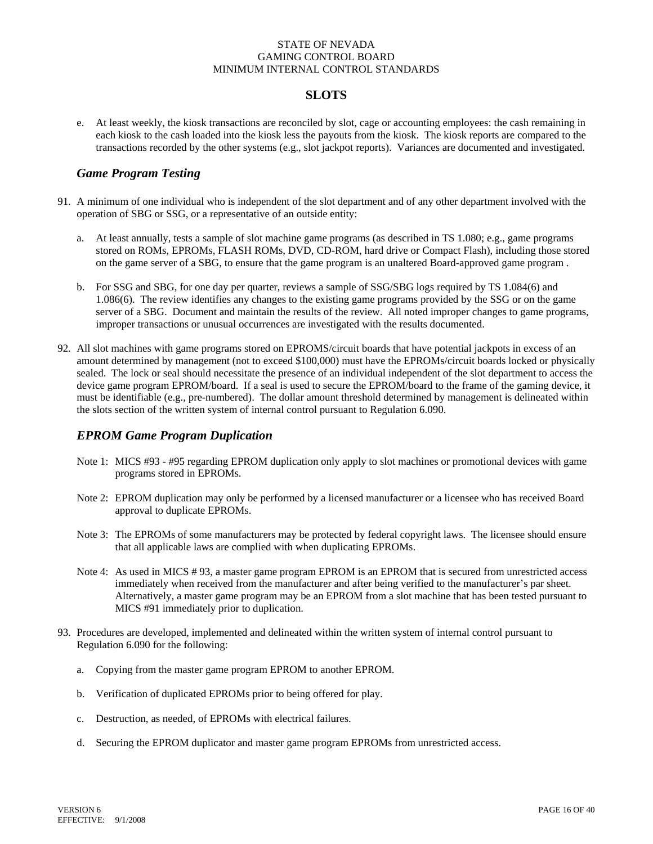# **SLOTS**

e. At least weekly, the kiosk transactions are reconciled by slot, cage or accounting employees: the cash remaining in each kiosk to the cash loaded into the kiosk less the payouts from the kiosk. The kiosk reports are compared to the transactions recorded by the other systems (e.g., slot jackpot reports). Variances are documented and investigated.

# *Game Program Testing*

- 91. A minimum of one individual who is independent of the slot department and of any other department involved with the operation of SBG or SSG, or a representative of an outside entity:
	- a. At least annually, tests a sample of slot machine game programs (as described in TS 1.080; e.g., game programs stored on ROMs, EPROMs, FLASH ROMs, DVD, CD-ROM, hard drive or Compact Flash), including those stored on the game server of a SBG, to ensure that the game program is an unaltered Board-approved game program .
	- b. For SSG and SBG, for one day per quarter, reviews a sample of SSG/SBG logs required by TS 1.084(6) and 1.086(6). The review identifies any changes to the existing game programs provided by the SSG or on the game server of a SBG. Document and maintain the results of the review. All noted improper changes to game programs, improper transactions or unusual occurrences are investigated with the results documented.
- 92. All slot machines with game programs stored on EPROMS/circuit boards that have potential jackpots in excess of an amount determined by management (not to exceed \$100,000) must have the EPROMs/circuit boards locked or physically sealed. The lock or seal should necessitate the presence of an individual independent of the slot department to access the device game program EPROM/board. If a seal is used to secure the EPROM/board to the frame of the gaming device, it must be identifiable (e.g., pre-numbered). The dollar amount threshold determined by management is delineated within the slots section of the written system of internal control pursuant to Regulation 6.090.

# *EPROM Game Program Duplication*

- Note 1: MICS #93 #95 regarding EPROM duplication only apply to slot machines or promotional devices with game programs stored in EPROMs.
- Note 2: EPROM duplication may only be performed by a licensed manufacturer or a licensee who has received Board approval to duplicate EPROMs.
- Note 3: The EPROMs of some manufacturers may be protected by federal copyright laws. The licensee should ensure that all applicable laws are complied with when duplicating EPROMs.
- Note 4: As used in MICS # 93, a master game program EPROM is an EPROM that is secured from unrestricted access immediately when received from the manufacturer and after being verified to the manufacturer's par sheet. Alternatively, a master game program may be an EPROM from a slot machine that has been tested pursuant to MICS #91 immediately prior to duplication.
- 93. Procedures are developed, implemented and delineated within the written system of internal control pursuant to Regulation 6.090 for the following:
	- a. Copying from the master game program EPROM to another EPROM.
	- b. Verification of duplicated EPROMs prior to being offered for play.
	- c. Destruction, as needed, of EPROMs with electrical failures.
	- d. Securing the EPROM duplicator and master game program EPROMs from unrestricted access.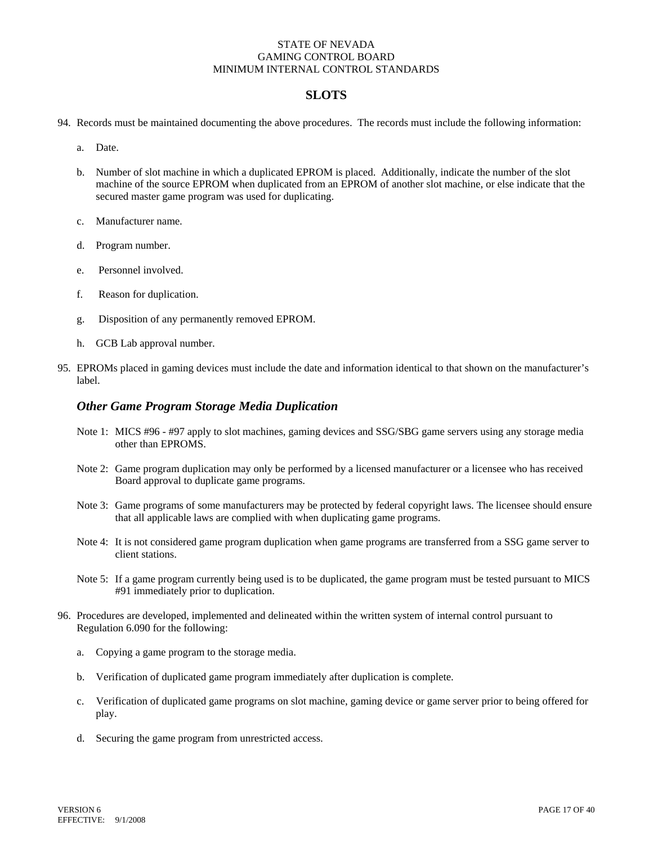## **SLOTS**

- 94. Records must be maintained documenting the above procedures. The records must include the following information:
	- a. Date.
	- b. Number of slot machine in which a duplicated EPROM is placed. Additionally, indicate the number of the slot machine of the source EPROM when duplicated from an EPROM of another slot machine, or else indicate that the secured master game program was used for duplicating.
	- c. Manufacturer name.
	- d. Program number.
	- e. Personnel involved.
	- f. Reason for duplication.
	- g. Disposition of any permanently removed EPROM.
	- h. GCB Lab approval number.
- 95. EPROMs placed in gaming devices must include the date and information identical to that shown on the manufacturer's label.

#### *Other Game Program Storage Media Duplication*

- Note 1: MICS #96 #97 apply to slot machines, gaming devices and SSG/SBG game servers using any storage media other than EPROMS.
- Note 2: Game program duplication may only be performed by a licensed manufacturer or a licensee who has received Board approval to duplicate game programs.
- Note 3: Game programs of some manufacturers may be protected by federal copyright laws. The licensee should ensure that all applicable laws are complied with when duplicating game programs.
- Note 4: It is not considered game program duplication when game programs are transferred from a SSG game server to client stations.
- Note 5: If a game program currently being used is to be duplicated, the game program must be tested pursuant to MICS #91 immediately prior to duplication.
- 96. Procedures are developed, implemented and delineated within the written system of internal control pursuant to Regulation 6.090 for the following:
	- a. Copying a game program to the storage media.
	- b. Verification of duplicated game program immediately after duplication is complete.
	- c. Verification of duplicated game programs on slot machine, gaming device or game server prior to being offered for play.
	- d. Securing the game program from unrestricted access.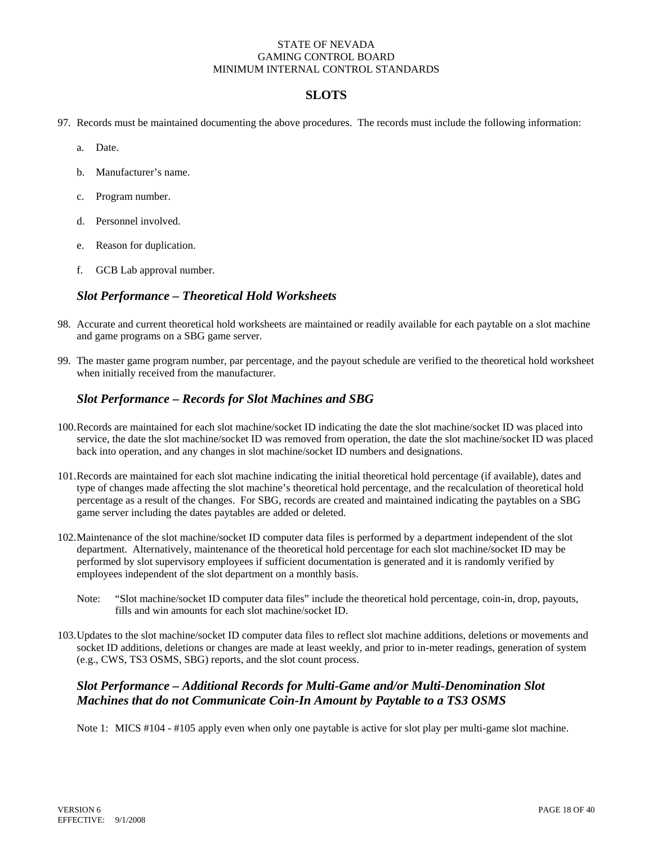# **SLOTS**

- 97. Records must be maintained documenting the above procedures. The records must include the following information:
	- a. Date.
	- b. Manufacturer's name.
	- c. Program number.
	- d. Personnel involved.
	- e. Reason for duplication.
	- f. GCB Lab approval number.

### *Slot Performance – Theoretical Hold Worksheets*

- 98. Accurate and current theoretical hold worksheets are maintained or readily available for each paytable on a slot machine and game programs on a SBG game server.
- 99. The master game program number, par percentage, and the payout schedule are verified to the theoretical hold worksheet when initially received from the manufacturer.

### *Slot Performance – Records for Slot Machines and SBG*

- 100. Records are maintained for each slot machine/socket ID indicating the date the slot machine/socket ID was placed into service, the date the slot machine/socket ID was removed from operation, the date the slot machine/socket ID was placed back into operation, and any changes in slot machine/socket ID numbers and designations.
- 101.Records are maintained for each slot machine indicating the initial theoretical hold percentage (if available), dates and type of changes made affecting the slot machine's theoretical hold percentage, and the recalculation of theoretical hold percentage as a result of the changes. For SBG, records are created and maintained indicating the paytables on a SBG game server including the dates paytables are added or deleted.
- 102.Maintenance of the slot machine/socket ID computer data files is performed by a department independent of the slot department. Alternatively, maintenance of the theoretical hold percentage for each slot machine/socket ID may be performed by slot supervisory employees if sufficient documentation is generated and it is randomly verified by employees independent of the slot department on a monthly basis.
	- Note: "Slot machine/socket ID computer data files" include the theoretical hold percentage, coin-in, drop, payouts, fills and win amounts for each slot machine/socket ID.
- 103.Updates to the slot machine/socket ID computer data files to reflect slot machine additions, deletions or movements and socket ID additions, deletions or changes are made at least weekly, and prior to in-meter readings, generation of system (e.g., CWS, TS3 OSMS, SBG) reports, and the slot count process.

# *Slot Performance – Additional Records for Multi-Game and/or Multi-Denomination Slot Machines that do not Communicate Coin-In Amount by Paytable to a TS3 OSMS*

Note 1: MICS #104 - #105 apply even when only one paytable is active for slot play per multi-game slot machine.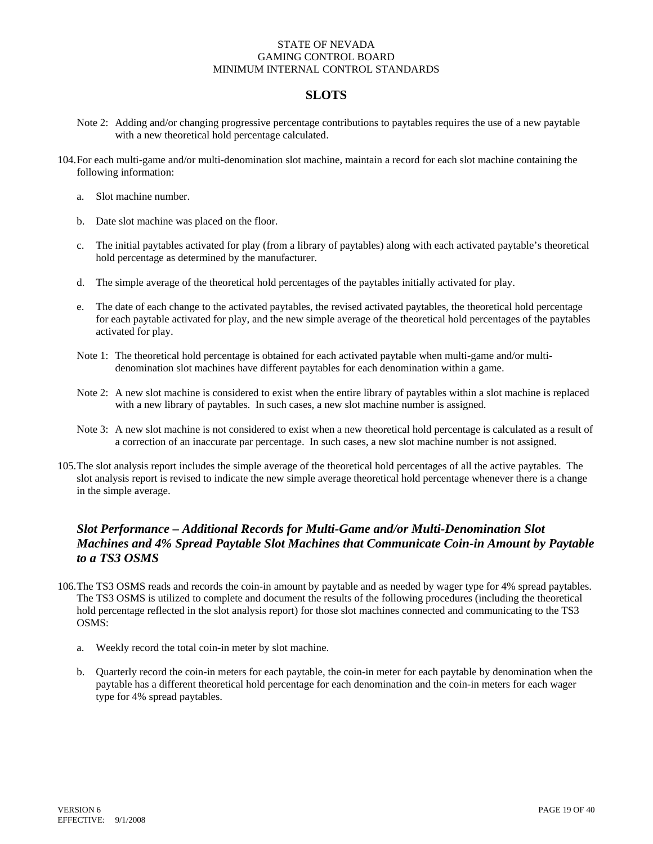# **SLOTS**

- Note 2: Adding and/or changing progressive percentage contributions to paytables requires the use of a new paytable with a new theoretical hold percentage calculated.
- 104.For each multi-game and/or multi-denomination slot machine, maintain a record for each slot machine containing the following information:
	- a. Slot machine number.
	- b. Date slot machine was placed on the floor.
	- c. The initial paytables activated for play (from a library of paytables) along with each activated paytable's theoretical hold percentage as determined by the manufacturer.
	- d. The simple average of the theoretical hold percentages of the paytables initially activated for play.
	- e. The date of each change to the activated paytables, the revised activated paytables, the theoretical hold percentage for each paytable activated for play, and the new simple average of the theoretical hold percentages of the paytables activated for play.
	- Note 1: The theoretical hold percentage is obtained for each activated paytable when multi-game and/or multidenomination slot machines have different paytables for each denomination within a game.
	- Note 2: A new slot machine is considered to exist when the entire library of paytables within a slot machine is replaced with a new library of paytables. In such cases, a new slot machine number is assigned.
	- Note 3: A new slot machine is not considered to exist when a new theoretical hold percentage is calculated as a result of a correction of an inaccurate par percentage. In such cases, a new slot machine number is not assigned.
- 105. The slot analysis report includes the simple average of the theoretical hold percentages of all the active paytables. The slot analysis report is revised to indicate the new simple average theoretical hold percentage whenever there is a change in the simple average.

# *Slot Performance – Additional Records for Multi-Game and/or Multi-Denomination Slot Machines and 4% Spread Paytable Slot Machines that Communicate Coin-in Amount by Paytable to a TS3 OSMS*

- 106.The TS3 OSMS reads and records the coin-in amount by paytable and as needed by wager type for 4% spread paytables. The TS3 OSMS is utilized to complete and document the results of the following procedures (including the theoretical hold percentage reflected in the slot analysis report) for those slot machines connected and communicating to the TS3 OSMS:
	- a. Weekly record the total coin-in meter by slot machine.
	- b. Quarterly record the coin-in meters for each paytable, the coin-in meter for each paytable by denomination when the paytable has a different theoretical hold percentage for each denomination and the coin-in meters for each wager type for 4% spread paytables.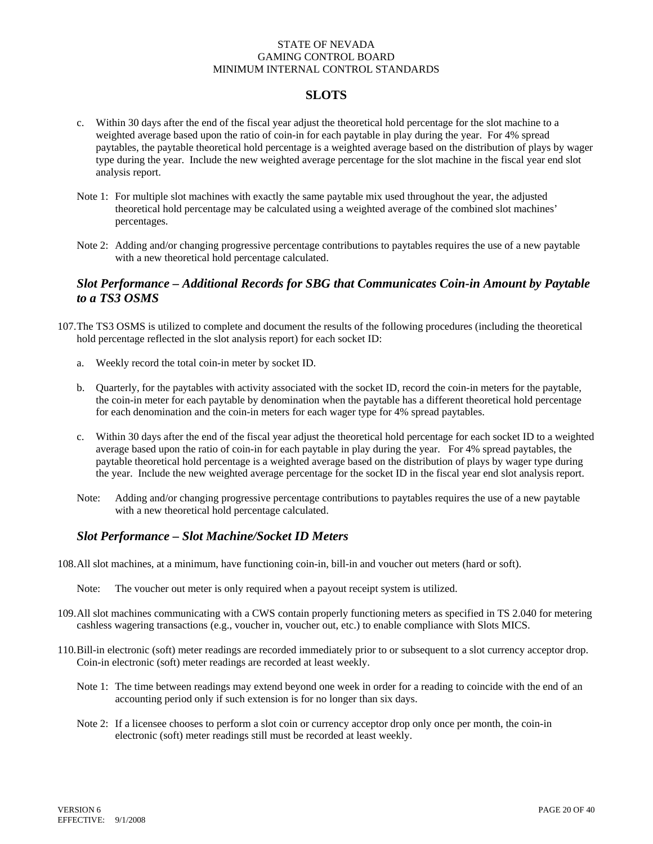### **SLOTS**

- c. Within 30 days after the end of the fiscal year adjust the theoretical hold percentage for the slot machine to a weighted average based upon the ratio of coin-in for each paytable in play during the year. For 4% spread paytables, the paytable theoretical hold percentage is a weighted average based on the distribution of plays by wager type during the year. Include the new weighted average percentage for the slot machine in the fiscal year end slot analysis report.
- Note 1: For multiple slot machines with exactly the same paytable mix used throughout the year, the adjusted theoretical hold percentage may be calculated using a weighted average of the combined slot machines' percentages.
- Note 2: Adding and/or changing progressive percentage contributions to paytables requires the use of a new paytable with a new theoretical hold percentage calculated.

### *Slot Performance – Additional Records for SBG that Communicates Coin-in Amount by Paytable to a TS3 OSMS*

- 107.The TS3 OSMS is utilized to complete and document the results of the following procedures (including the theoretical hold percentage reflected in the slot analysis report) for each socket ID:
	- a. Weekly record the total coin-in meter by socket ID.
	- b. Quarterly, for the paytables with activity associated with the socket ID, record the coin-in meters for the paytable, the coin-in meter for each paytable by denomination when the paytable has a different theoretical hold percentage for each denomination and the coin-in meters for each wager type for 4% spread paytables.
	- c. Within 30 days after the end of the fiscal year adjust the theoretical hold percentage for each socket ID to a weighted average based upon the ratio of coin-in for each paytable in play during the year. For 4% spread paytables, the paytable theoretical hold percentage is a weighted average based on the distribution of plays by wager type during the year. Include the new weighted average percentage for the socket ID in the fiscal year end slot analysis report.
	- Note: Adding and/or changing progressive percentage contributions to paytables requires the use of a new paytable with a new theoretical hold percentage calculated.

# *Slot Performance – Slot Machine/Socket ID Meters*

- 108.All slot machines, at a minimum, have functioning coin-in, bill-in and voucher out meters (hard or soft).
	- Note: The voucher out meter is only required when a payout receipt system is utilized.
- 109.All slot machines communicating with a CWS contain properly functioning meters as specified in TS 2.040 for metering cashless wagering transactions (e.g., voucher in, voucher out, etc.) to enable compliance with Slots MICS.
- 110. Bill-in electronic (soft) meter readings are recorded immediately prior to or subsequent to a slot currency acceptor drop. Coin-in electronic (soft) meter readings are recorded at least weekly.
	- Note 1: The time between readings may extend beyond one week in order for a reading to coincide with the end of an accounting period only if such extension is for no longer than six days.
	- Note 2: If a licensee chooses to perform a slot coin or currency acceptor drop only once per month, the coin-in electronic (soft) meter readings still must be recorded at least weekly.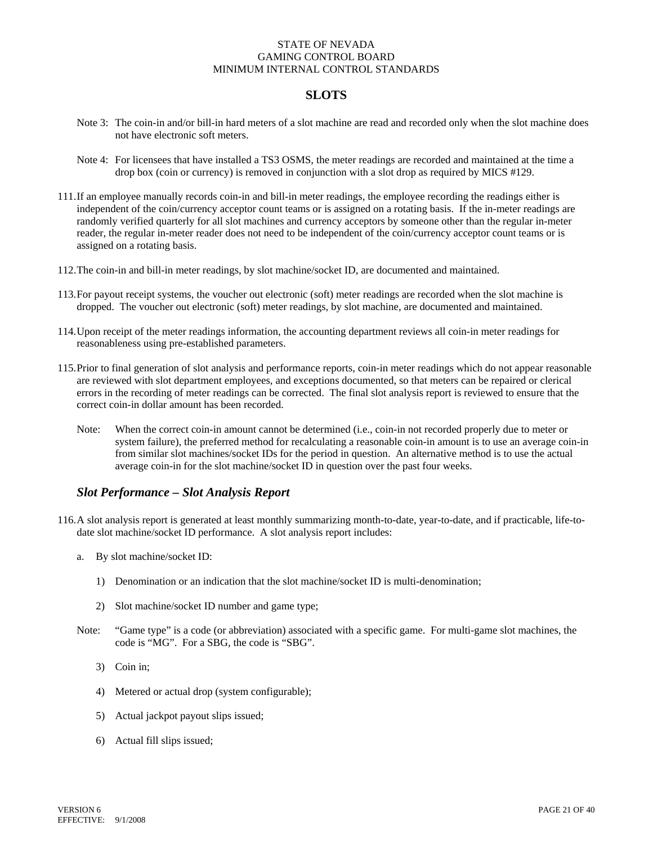# **SLOTS**

- Note 3: The coin-in and/or bill-in hard meters of a slot machine are read and recorded only when the slot machine does not have electronic soft meters.
- Note 4: For licensees that have installed a TS3 OSMS, the meter readings are recorded and maintained at the time a drop box (coin or currency) is removed in conjunction with a slot drop as required by MICS #129.
- 111.If an employee manually records coin-in and bill-in meter readings, the employee recording the readings either is independent of the coin/currency acceptor count teams or is assigned on a rotating basis. If the in-meter readings are randomly verified quarterly for all slot machines and currency acceptors by someone other than the regular in-meter reader, the regular in-meter reader does not need to be independent of the coin/currency acceptor count teams or is assigned on a rotating basis.
- 112.The coin-in and bill-in meter readings, by slot machine/socket ID, are documented and maintained.
- 113.For payout receipt systems, the voucher out electronic (soft) meter readings are recorded when the slot machine is dropped. The voucher out electronic (soft) meter readings, by slot machine, are documented and maintained.
- 114. Upon receipt of the meter readings information, the accounting department reviews all coin-in meter readings for reasonableness using pre-established parameters.
- 115.Prior to final generation of slot analysis and performance reports, coin-in meter readings which do not appear reasonable are reviewed with slot department employees, and exceptions documented, so that meters can be repaired or clerical errors in the recording of meter readings can be corrected. The final slot analysis report is reviewed to ensure that the correct coin-in dollar amount has been recorded.
	- Note: When the correct coin-in amount cannot be determined (i.e., coin-in not recorded properly due to meter or system failure), the preferred method for recalculating a reasonable coin-in amount is to use an average coin-in from similar slot machines/socket IDs for the period in question. An alternative method is to use the actual average coin-in for the slot machine/socket ID in question over the past four weeks.

# *Slot Performance – Slot Analysis Report*

- 116.A slot analysis report is generated at least monthly summarizing month-to-date, year-to-date, and if practicable, life-todate slot machine/socket ID performance. A slot analysis report includes:
	- a. By slot machine/socket ID:
		- 1) Denomination or an indication that the slot machine/socket ID is multi-denomination;
		- 2) Slot machine/socket ID number and game type;
	- Note: "Game type" is a code (or abbreviation) associated with a specific game. For multi-game slot machines, the code is "MG". For a SBG, the code is "SBG".
		- 3) Coin in;
		- 4) Metered or actual drop (system configurable);
		- 5) Actual jackpot payout slips issued;
		- 6) Actual fill slips issued;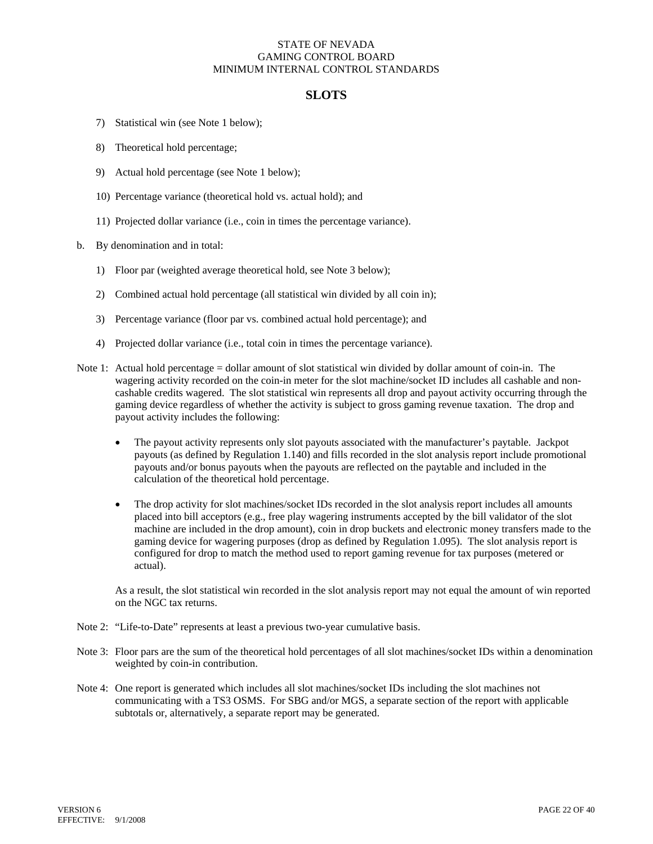### **SLOTS**

- 7) Statistical win (see Note 1 below);
- 8) Theoretical hold percentage;
- 9) Actual hold percentage (see Note 1 below);
- 10) Percentage variance (theoretical hold vs. actual hold); and
- 11) Projected dollar variance (i.e., coin in times the percentage variance).
- b. By denomination and in total:
	- 1) Floor par (weighted average theoretical hold, see Note 3 below);
	- 2) Combined actual hold percentage (all statistical win divided by all coin in);
	- 3) Percentage variance (floor par vs. combined actual hold percentage); and
	- 4) Projected dollar variance (i.e., total coin in times the percentage variance).
- Note 1: Actual hold percentage = dollar amount of slot statistical win divided by dollar amount of coin-in. The wagering activity recorded on the coin-in meter for the slot machine/socket ID includes all cashable and noncashable credits wagered. The slot statistical win represents all drop and payout activity occurring through the gaming device regardless of whether the activity is subject to gross gaming revenue taxation. The drop and payout activity includes the following:
	- The payout activity represents only slot payouts associated with the manufacturer's paytable. Jackpot payouts (as defined by Regulation 1.140) and fills recorded in the slot analysis report include promotional payouts and/or bonus payouts when the payouts are reflected on the paytable and included in the calculation of the theoretical hold percentage.
	- The drop activity for slot machines/socket IDs recorded in the slot analysis report includes all amounts placed into bill acceptors (e.g., free play wagering instruments accepted by the bill validator of the slot machine are included in the drop amount), coin in drop buckets and electronic money transfers made to the gaming device for wagering purposes (drop as defined by Regulation 1.095). The slot analysis report is configured for drop to match the method used to report gaming revenue for tax purposes (metered or actual).

As a result, the slot statistical win recorded in the slot analysis report may not equal the amount of win reported on the NGC tax returns.

- Note 2: "Life-to-Date" represents at least a previous two-year cumulative basis.
- Note 3: Floor pars are the sum of the theoretical hold percentages of all slot machines/socket IDs within a denomination weighted by coin-in contribution.
- Note 4: One report is generated which includes all slot machines/socket IDs including the slot machines not communicating with a TS3 OSMS. For SBG and/or MGS, a separate section of the report with applicable subtotals or, alternatively, a separate report may be generated.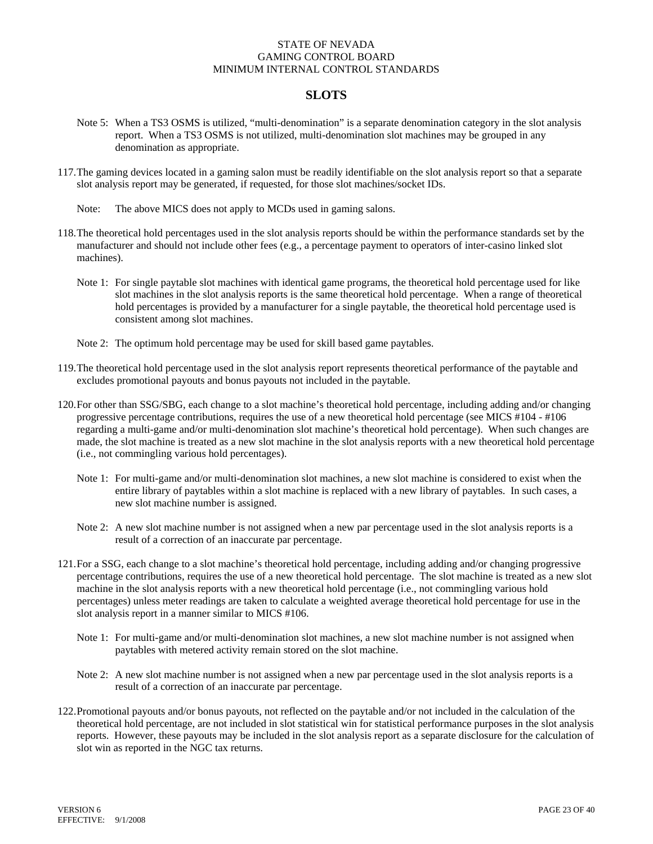## **SLOTS**

- Note 5: When a TS3 OSMS is utilized, "multi-denomination" is a separate denomination category in the slot analysis report. When a TS3 OSMS is not utilized, multi-denomination slot machines may be grouped in any denomination as appropriate.
- 117.The gaming devices located in a gaming salon must be readily identifiable on the slot analysis report so that a separate slot analysis report may be generated, if requested, for those slot machines/socket IDs.
	- Note: The above MICS does not apply to MCDs used in gaming salons.
- 118.The theoretical hold percentages used in the slot analysis reports should be within the performance standards set by the manufacturer and should not include other fees (e.g., a percentage payment to operators of inter-casino linked slot machines).
	- Note 1: For single paytable slot machines with identical game programs, the theoretical hold percentage used for like slot machines in the slot analysis reports is the same theoretical hold percentage. When a range of theoretical hold percentages is provided by a manufacturer for a single paytable, the theoretical hold percentage used is consistent among slot machines.
	- Note 2: The optimum hold percentage may be used for skill based game paytables.
- 119. The theoretical hold percentage used in the slot analysis report represents theoretical performance of the paytable and excludes promotional payouts and bonus payouts not included in the paytable.
- 120.For other than SSG/SBG, each change to a slot machine's theoretical hold percentage, including adding and/or changing progressive percentage contributions, requires the use of a new theoretical hold percentage (see MICS #104 - #106 regarding a multi-game and/or multi-denomination slot machine's theoretical hold percentage). When such changes are made, the slot machine is treated as a new slot machine in the slot analysis reports with a new theoretical hold percentage (i.e., not commingling various hold percentages).
	- Note 1: For multi-game and/or multi-denomination slot machines, a new slot machine is considered to exist when the entire library of paytables within a slot machine is replaced with a new library of paytables. In such cases, a new slot machine number is assigned.
	- Note 2: A new slot machine number is not assigned when a new par percentage used in the slot analysis reports is a result of a correction of an inaccurate par percentage.
- 121.For a SSG, each change to a slot machine's theoretical hold percentage, including adding and/or changing progressive percentage contributions, requires the use of a new theoretical hold percentage. The slot machine is treated as a new slot machine in the slot analysis reports with a new theoretical hold percentage (i.e., not commingling various hold percentages) unless meter readings are taken to calculate a weighted average theoretical hold percentage for use in the slot analysis report in a manner similar to MICS #106.
	- Note 1: For multi-game and/or multi-denomination slot machines, a new slot machine number is not assigned when paytables with metered activity remain stored on the slot machine.
	- Note 2: A new slot machine number is not assigned when a new par percentage used in the slot analysis reports is a result of a correction of an inaccurate par percentage.
- 122.Promotional payouts and/or bonus payouts, not reflected on the paytable and/or not included in the calculation of the theoretical hold percentage, are not included in slot statistical win for statistical performance purposes in the slot analysis reports. However, these payouts may be included in the slot analysis report as a separate disclosure for the calculation of slot win as reported in the NGC tax returns.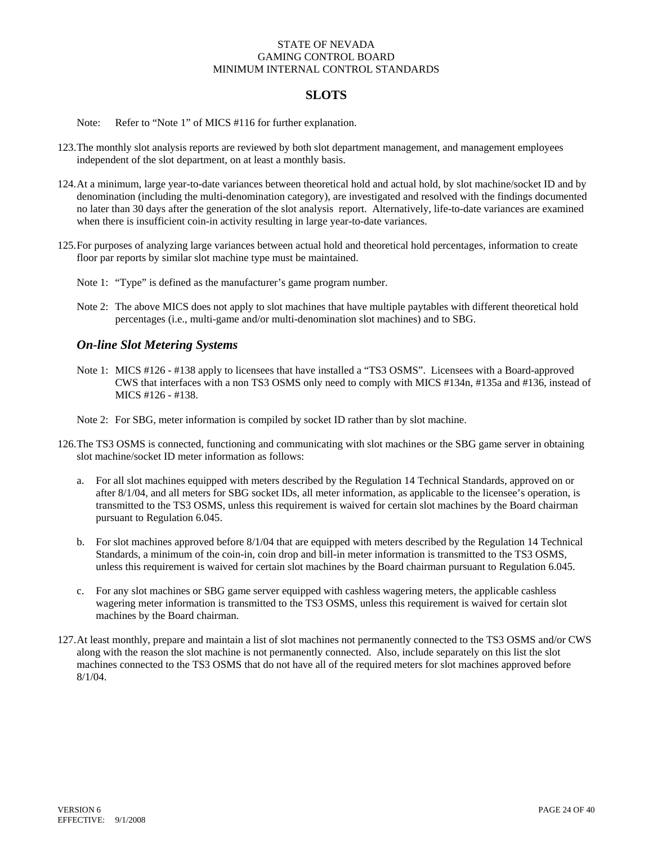# **SLOTS**

Note: Refer to "Note 1" of MICS #116 for further explanation.

- 123.The monthly slot analysis reports are reviewed by both slot department management, and management employees independent of the slot department, on at least a monthly basis.
- 124.At a minimum, large year-to-date variances between theoretical hold and actual hold, by slot machine/socket ID and by denomination (including the multi-denomination category), are investigated and resolved with the findings documented no later than 30 days after the generation of the slot analysis report. Alternatively, life-to-date variances are examined when there is insufficient coin-in activity resulting in large year-to-date variances.
- 125.For purposes of analyzing large variances between actual hold and theoretical hold percentages, information to create floor par reports by similar slot machine type must be maintained.
	- Note 1: "Type" is defined as the manufacturer's game program number.
	- Note 2: The above MICS does not apply to slot machines that have multiple paytables with different theoretical hold percentages (i.e., multi-game and/or multi-denomination slot machines) and to SBG.

#### *On-line Slot Metering Systems*

Note 1: MICS #126 - #138 apply to licensees that have installed a "TS3 OSMS". Licensees with a Board-approved CWS that interfaces with a non TS3 OSMS only need to comply with MICS #134n, #135a and #136, instead of MICS #126 - #138.

Note 2: For SBG, meter information is compiled by socket ID rather than by slot machine.

- 126.The TS3 OSMS is connected, functioning and communicating with slot machines or the SBG game server in obtaining slot machine/socket ID meter information as follows:
	- a. For all slot machines equipped with meters described by the Regulation 14 Technical Standards, approved on or after 8/1/04, and all meters for SBG socket IDs, all meter information, as applicable to the licensee's operation, is transmitted to the TS3 OSMS, unless this requirement is waived for certain slot machines by the Board chairman pursuant to Regulation 6.045.
	- b. For slot machines approved before 8/1/04 that are equipped with meters described by the Regulation 14 Technical Standards, a minimum of the coin-in, coin drop and bill-in meter information is transmitted to the TS3 OSMS, unless this requirement is waived for certain slot machines by the Board chairman pursuant to Regulation 6.045.
	- c. For any slot machines or SBG game server equipped with cashless wagering meters, the applicable cashless wagering meter information is transmitted to the TS3 OSMS, unless this requirement is waived for certain slot machines by the Board chairman.
- 127.At least monthly, prepare and maintain a list of slot machines not permanently connected to the TS3 OSMS and/or CWS along with the reason the slot machine is not permanently connected. Also, include separately on this list the slot machines connected to the TS3 OSMS that do not have all of the required meters for slot machines approved before 8/1/04.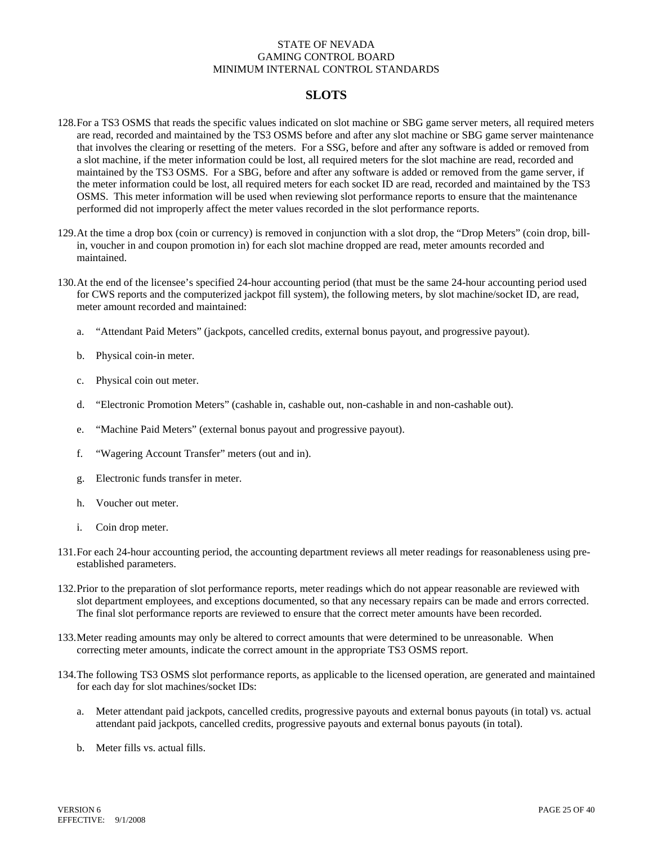# **SLOTS**

- 128. For a TS3 OSMS that reads the specific values indicated on slot machine or SBG game server meters, all required meters are read, recorded and maintained by the TS3 OSMS before and after any slot machine or SBG game server maintenance that involves the clearing or resetting of the meters. For a SSG, before and after any software is added or removed from a slot machine, if the meter information could be lost, all required meters for the slot machine are read, recorded and maintained by the TS3 OSMS. For a SBG, before and after any software is added or removed from the game server, if the meter information could be lost, all required meters for each socket ID are read, recorded and maintained by the TS3 OSMS. This meter information will be used when reviewing slot performance reports to ensure that the maintenance performed did not improperly affect the meter values recorded in the slot performance reports.
- 129.At the time a drop box (coin or currency) is removed in conjunction with a slot drop, the "Drop Meters" (coin drop, billin, voucher in and coupon promotion in) for each slot machine dropped are read, meter amounts recorded and maintained.
- 130.At the end of the licensee's specified 24-hour accounting period (that must be the same 24-hour accounting period used for CWS reports and the computerized jackpot fill system), the following meters, by slot machine/socket ID, are read, meter amount recorded and maintained:
	- a. "Attendant Paid Meters" (jackpots, cancelled credits, external bonus payout, and progressive payout).
	- b. Physical coin-in meter.
	- c. Physical coin out meter.
	- d. "Electronic Promotion Meters" (cashable in, cashable out, non-cashable in and non-cashable out).
	- e. "Machine Paid Meters" (external bonus payout and progressive payout).
	- f. "Wagering Account Transfer" meters (out and in).
	- g. Electronic funds transfer in meter.
	- h. Voucher out meter.
	- i. Coin drop meter.
- 131.For each 24-hour accounting period, the accounting department reviews all meter readings for reasonableness using preestablished parameters.
- 132.Prior to the preparation of slot performance reports, meter readings which do not appear reasonable are reviewed with slot department employees, and exceptions documented, so that any necessary repairs can be made and errors corrected. The final slot performance reports are reviewed to ensure that the correct meter amounts have been recorded.
- 133.Meter reading amounts may only be altered to correct amounts that were determined to be unreasonable. When correcting meter amounts, indicate the correct amount in the appropriate TS3 OSMS report.
- 134.The following TS3 OSMS slot performance reports, as applicable to the licensed operation, are generated and maintained for each day for slot machines/socket IDs:
	- a. Meter attendant paid jackpots, cancelled credits, progressive payouts and external bonus payouts (in total) vs. actual attendant paid jackpots, cancelled credits, progressive payouts and external bonus payouts (in total).
	- b. Meter fills vs. actual fills.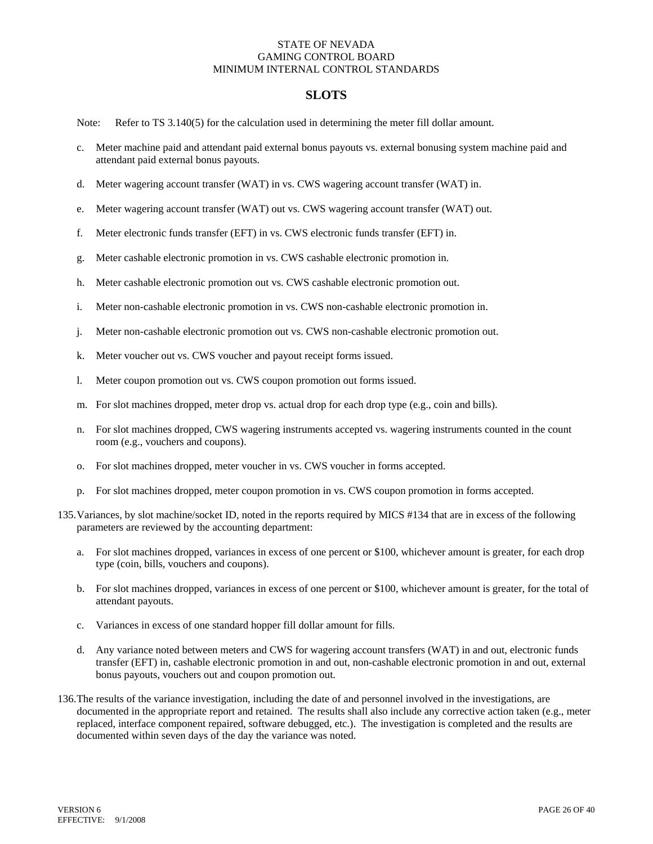### **SLOTS**

Note: Refer to TS 3.140(5) for the calculation used in determining the meter fill dollar amount.

- c. Meter machine paid and attendant paid external bonus payouts vs. external bonusing system machine paid and attendant paid external bonus payouts.
- d. Meter wagering account transfer (WAT) in vs. CWS wagering account transfer (WAT) in.
- e. Meter wagering account transfer (WAT) out vs. CWS wagering account transfer (WAT) out.
- f. Meter electronic funds transfer (EFT) in vs. CWS electronic funds transfer (EFT) in.
- g. Meter cashable electronic promotion in vs. CWS cashable electronic promotion in.
- h. Meter cashable electronic promotion out vs. CWS cashable electronic promotion out.
- i. Meter non-cashable electronic promotion in vs. CWS non-cashable electronic promotion in.
- j. Meter non-cashable electronic promotion out vs. CWS non-cashable electronic promotion out.
- k. Meter voucher out vs. CWS voucher and payout receipt forms issued.
- l. Meter coupon promotion out vs. CWS coupon promotion out forms issued.
- m. For slot machines dropped, meter drop vs. actual drop for each drop type (e.g., coin and bills).
- n. For slot machines dropped, CWS wagering instruments accepted vs. wagering instruments counted in the count room (e.g., vouchers and coupons).
- o. For slot machines dropped, meter voucher in vs. CWS voucher in forms accepted.
- p. For slot machines dropped, meter coupon promotion in vs. CWS coupon promotion in forms accepted.
- 135.Variances, by slot machine/socket ID, noted in the reports required by MICS #134 that are in excess of the following parameters are reviewed by the accounting department:
	- a. For slot machines dropped, variances in excess of one percent or \$100, whichever amount is greater, for each drop type (coin, bills, vouchers and coupons).
	- b. For slot machines dropped, variances in excess of one percent or \$100, whichever amount is greater, for the total of attendant payouts.
	- c. Variances in excess of one standard hopper fill dollar amount for fills.
	- d. Any variance noted between meters and CWS for wagering account transfers (WAT) in and out, electronic funds transfer (EFT) in, cashable electronic promotion in and out, non-cashable electronic promotion in and out, external bonus payouts, vouchers out and coupon promotion out.
- 136.The results of the variance investigation, including the date of and personnel involved in the investigations, are documented in the appropriate report and retained. The results shall also include any corrective action taken (e.g., meter replaced, interface component repaired, software debugged, etc.). The investigation is completed and the results are documented within seven days of the day the variance was noted.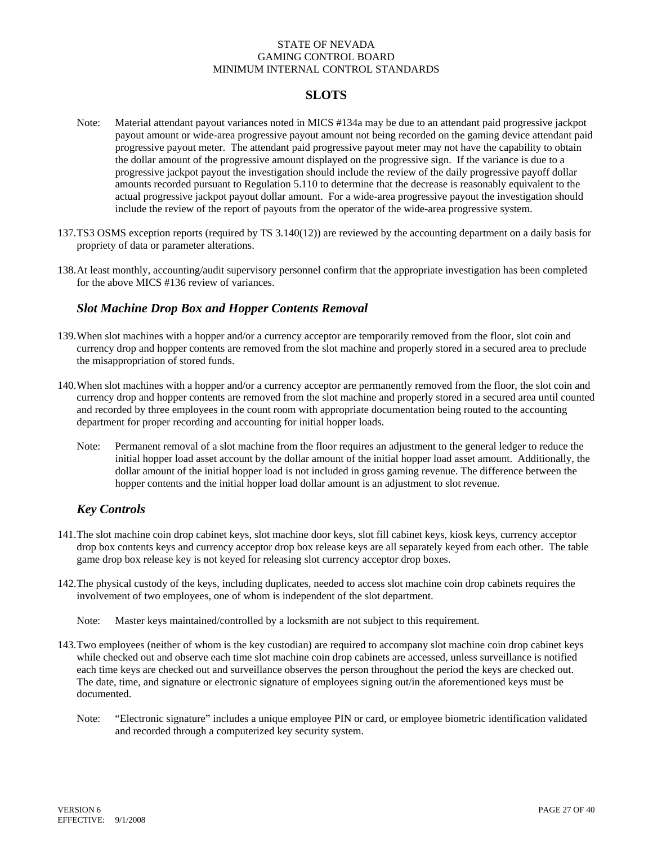# **SLOTS**

- Note: Material attendant payout variances noted in MICS #134a may be due to an attendant paid progressive jackpot payout amount or wide-area progressive payout amount not being recorded on the gaming device attendant paid progressive payout meter. The attendant paid progressive payout meter may not have the capability to obtain the dollar amount of the progressive amount displayed on the progressive sign. If the variance is due to a progressive jackpot payout the investigation should include the review of the daily progressive payoff dollar amounts recorded pursuant to Regulation 5.110 to determine that the decrease is reasonably equivalent to the actual progressive jackpot payout dollar amount. For a wide-area progressive payout the investigation should include the review of the report of payouts from the operator of the wide-area progressive system.
- 137.TS3 OSMS exception reports (required by TS 3.140(12)) are reviewed by the accounting department on a daily basis for propriety of data or parameter alterations.
- 138. At least monthly, accounting/audit supervisory personnel confirm that the appropriate investigation has been completed for the above MICS #136 review of variances.

### *Slot Machine Drop Box and Hopper Contents Removal*

- 139.When slot machines with a hopper and/or a currency acceptor are temporarily removed from the floor, slot coin and currency drop and hopper contents are removed from the slot machine and properly stored in a secured area to preclude the misappropriation of stored funds.
- 140.When slot machines with a hopper and/or a currency acceptor are permanently removed from the floor, the slot coin and currency drop and hopper contents are removed from the slot machine and properly stored in a secured area until counted and recorded by three employees in the count room with appropriate documentation being routed to the accounting department for proper recording and accounting for initial hopper loads.
	- Note: Permanent removal of a slot machine from the floor requires an adjustment to the general ledger to reduce the initial hopper load asset account by the dollar amount of the initial hopper load asset amount. Additionally, the dollar amount of the initial hopper load is not included in gross gaming revenue. The difference between the hopper contents and the initial hopper load dollar amount is an adjustment to slot revenue.

# *Key Controls*

- 141. The slot machine coin drop cabinet keys, slot machine door keys, slot fill cabinet keys, kiosk keys, currency acceptor drop box contents keys and currency acceptor drop box release keys are all separately keyed from each other. The table game drop box release key is not keyed for releasing slot currency acceptor drop boxes.
- 142.The physical custody of the keys, including duplicates, needed to access slot machine coin drop cabinets requires the involvement of two employees, one of whom is independent of the slot department.
	- Note: Master keys maintained/controlled by a locksmith are not subject to this requirement.
- 143.Two employees (neither of whom is the key custodian) are required to accompany slot machine coin drop cabinet keys while checked out and observe each time slot machine coin drop cabinets are accessed, unless surveillance is notified each time keys are checked out and surveillance observes the person throughout the period the keys are checked out. The date, time, and signature or electronic signature of employees signing out/in the aforementioned keys must be documented.
	- Note: "Electronic signature" includes a unique employee PIN or card, or employee biometric identification validated and recorded through a computerized key security system.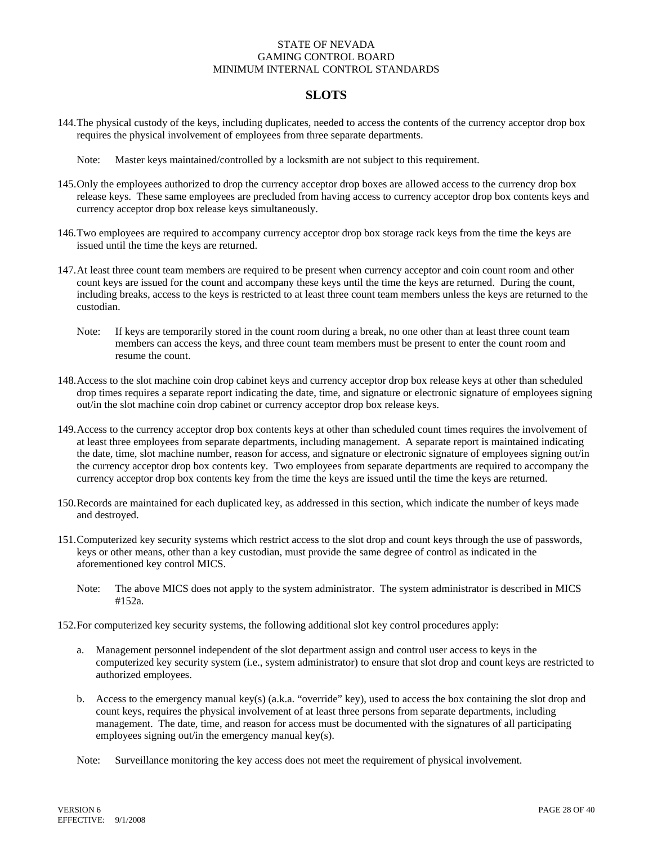### **SLOTS**

- 144.The physical custody of the keys, including duplicates, needed to access the contents of the currency acceptor drop box requires the physical involvement of employees from three separate departments.
	- Note: Master keys maintained/controlled by a locksmith are not subject to this requirement.
- 145.Only the employees authorized to drop the currency acceptor drop boxes are allowed access to the currency drop box release keys. These same employees are precluded from having access to currency acceptor drop box contents keys and currency acceptor drop box release keys simultaneously.
- 146.Two employees are required to accompany currency acceptor drop box storage rack keys from the time the keys are issued until the time the keys are returned.
- 147. At least three count team members are required to be present when currency acceptor and coin count room and other count keys are issued for the count and accompany these keys until the time the keys are returned. During the count, including breaks, access to the keys is restricted to at least three count team members unless the keys are returned to the custodian.
	- Note: If keys are temporarily stored in the count room during a break, no one other than at least three count team members can access the keys, and three count team members must be present to enter the count room and resume the count.
- 148. Access to the slot machine coin drop cabinet keys and currency acceptor drop box release keys at other than scheduled drop times requires a separate report indicating the date, time, and signature or electronic signature of employees signing out/in the slot machine coin drop cabinet or currency acceptor drop box release keys.
- 149. Access to the currency acceptor drop box contents keys at other than scheduled count times requires the involvement of at least three employees from separate departments, including management. A separate report is maintained indicating the date, time, slot machine number, reason for access, and signature or electronic signature of employees signing out/in the currency acceptor drop box contents key. Two employees from separate departments are required to accompany the currency acceptor drop box contents key from the time the keys are issued until the time the keys are returned.
- 150. Records are maintained for each duplicated key, as addressed in this section, which indicate the number of keys made and destroyed.
- 151. Computerized key security systems which restrict access to the slot drop and count keys through the use of passwords, keys or other means, other than a key custodian, must provide the same degree of control as indicated in the aforementioned key control MICS.
	- Note: The above MICS does not apply to the system administrator. The system administrator is described in MICS #152a.
- 152.For computerized key security systems, the following additional slot key control procedures apply:
	- a. Management personnel independent of the slot department assign and control user access to keys in the computerized key security system (i.e., system administrator) to ensure that slot drop and count keys are restricted to authorized employees.
	- b. Access to the emergency manual key(s) (a.k.a. "override" key), used to access the box containing the slot drop and count keys, requires the physical involvement of at least three persons from separate departments, including management. The date, time, and reason for access must be documented with the signatures of all participating employees signing out/in the emergency manual key(s).
	- Note: Surveillance monitoring the key access does not meet the requirement of physical involvement.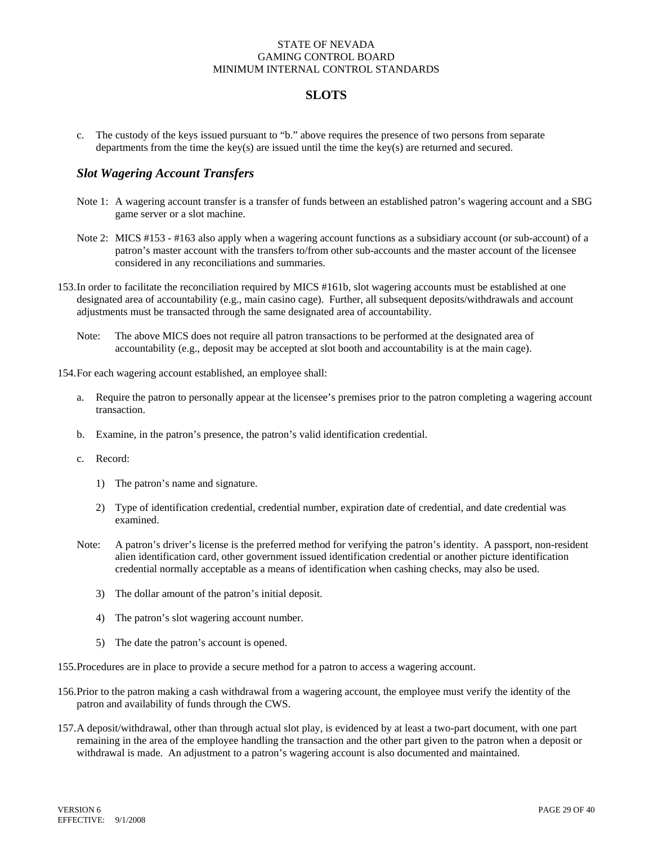## **SLOTS**

c. The custody of the keys issued pursuant to "b." above requires the presence of two persons from separate departments from the time the key(s) are issued until the time the key(s) are returned and secured.

### *Slot Wagering Account Transfers*

- Note 1: A wagering account transfer is a transfer of funds between an established patron's wagering account and a SBG game server or a slot machine.
- Note 2: MICS #153 #163 also apply when a wagering account functions as a subsidiary account (or sub-account) of a patron's master account with the transfers to/from other sub-accounts and the master account of the licensee considered in any reconciliations and summaries.
- 153.In order to facilitate the reconciliation required by MICS #161b, slot wagering accounts must be established at one designated area of accountability (e.g., main casino cage). Further, all subsequent deposits/withdrawals and account adjustments must be transacted through the same designated area of accountability.
	- Note: The above MICS does not require all patron transactions to be performed at the designated area of accountability (e.g., deposit may be accepted at slot booth and accountability is at the main cage).

154.For each wagering account established, an employee shall:

- a. Require the patron to personally appear at the licensee's premises prior to the patron completing a wagering account transaction.
- b. Examine, in the patron's presence, the patron's valid identification credential.
- c. Record:
	- 1) The patron's name and signature.
	- 2) Type of identification credential, credential number, expiration date of credential, and date credential was examined.
- Note: A patron's driver's license is the preferred method for verifying the patron's identity. A passport, non-resident alien identification card, other government issued identification credential or another picture identification credential normally acceptable as a means of identification when cashing checks, may also be used.
	- 3) The dollar amount of the patron's initial deposit.
	- 4) The patron's slot wagering account number.
	- 5) The date the patron's account is opened.

155.Procedures are in place to provide a secure method for a patron to access a wagering account.

- 156.Prior to the patron making a cash withdrawal from a wagering account, the employee must verify the identity of the patron and availability of funds through the CWS.
- 157.A deposit/withdrawal, other than through actual slot play, is evidenced by at least a two-part document, with one part remaining in the area of the employee handling the transaction and the other part given to the patron when a deposit or withdrawal is made. An adjustment to a patron's wagering account is also documented and maintained.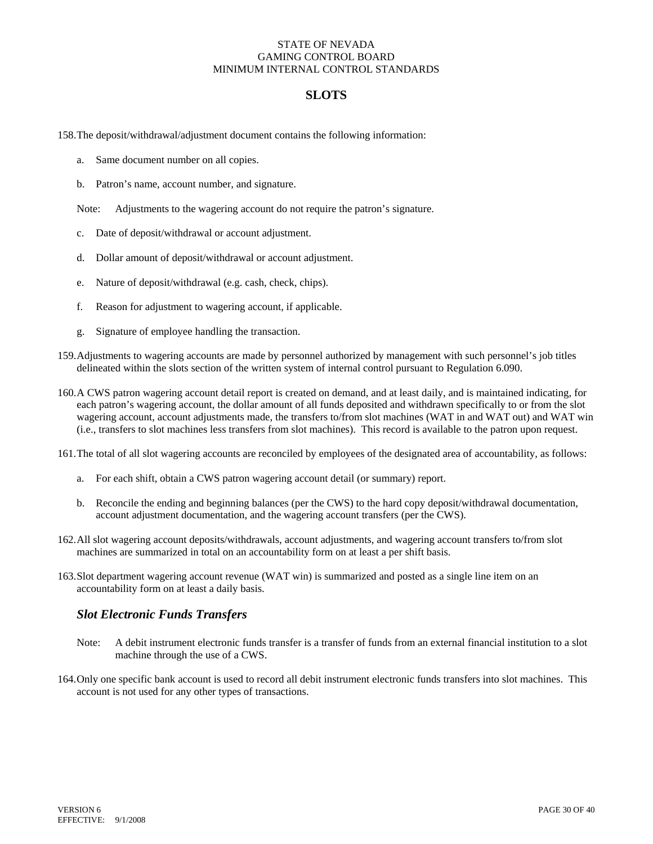## **SLOTS**

158.The deposit/withdrawal/adjustment document contains the following information:

- a. Same document number on all copies.
- b. Patron's name, account number, and signature.

Note: Adjustments to the wagering account do not require the patron's signature.

- c. Date of deposit/withdrawal or account adjustment.
- d. Dollar amount of deposit/withdrawal or account adjustment.
- e. Nature of deposit/withdrawal (e.g. cash, check, chips).
- f. Reason for adjustment to wagering account, if applicable.
- g. Signature of employee handling the transaction.
- 159. Adjustments to wagering accounts are made by personnel authorized by management with such personnel's job titles delineated within the slots section of the written system of internal control pursuant to Regulation 6.090.
- 160. A CWS patron wagering account detail report is created on demand, and at least daily, and is maintained indicating, for each patron's wagering account, the dollar amount of all funds deposited and withdrawn specifically to or from the slot wagering account, account adjustments made, the transfers to/from slot machines (WAT in and WAT out) and WAT win (i.e., transfers to slot machines less transfers from slot machines). This record is available to the patron upon request.
- 161. The total of all slot wagering accounts are reconciled by employees of the designated area of accountability, as follows:
	- a. For each shift, obtain a CWS patron wagering account detail (or summary) report.
	- b. Reconcile the ending and beginning balances (per the CWS) to the hard copy deposit/withdrawal documentation, account adjustment documentation, and the wagering account transfers (per the CWS).
- 162.All slot wagering account deposits/withdrawals, account adjustments, and wagering account transfers to/from slot machines are summarized in total on an accountability form on at least a per shift basis.
- 163.Slot department wagering account revenue (WAT win) is summarized and posted as a single line item on an accountability form on at least a daily basis.

### *Slot Electronic Funds Transfers*

- Note: A debit instrument electronic funds transfer is a transfer of funds from an external financial institution to a slot machine through the use of a CWS.
- 164.Only one specific bank account is used to record all debit instrument electronic funds transfers into slot machines. This account is not used for any other types of transactions.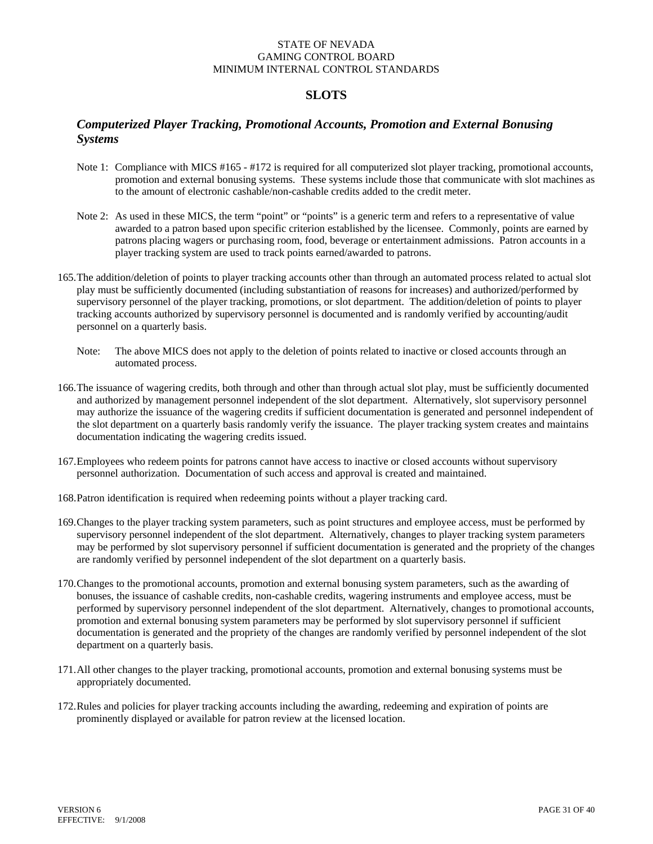# **SLOTS**

# *Computerized Player Tracking, Promotional Accounts, Promotion and External Bonusing Systems*

- Note 1: Compliance with MICS #165 #172 is required for all computerized slot player tracking, promotional accounts, promotion and external bonusing systems. These systems include those that communicate with slot machines as to the amount of electronic cashable/non-cashable credits added to the credit meter.
- Note 2: As used in these MICS, the term "point" or "points" is a generic term and refers to a representative of value awarded to a patron based upon specific criterion established by the licensee. Commonly, points are earned by patrons placing wagers or purchasing room, food, beverage or entertainment admissions. Patron accounts in a player tracking system are used to track points earned/awarded to patrons.
- 165.The addition/deletion of points to player tracking accounts other than through an automated process related to actual slot play must be sufficiently documented (including substantiation of reasons for increases) and authorized/performed by supervisory personnel of the player tracking, promotions, or slot department. The addition/deletion of points to player tracking accounts authorized by supervisory personnel is documented and is randomly verified by accounting/audit personnel on a quarterly basis.
	- Note: The above MICS does not apply to the deletion of points related to inactive or closed accounts through an automated process.
- 166.The issuance of wagering credits, both through and other than through actual slot play, must be sufficiently documented and authorized by management personnel independent of the slot department. Alternatively, slot supervisory personnel may authorize the issuance of the wagering credits if sufficient documentation is generated and personnel independent of the slot department on a quarterly basis randomly verify the issuance. The player tracking system creates and maintains documentation indicating the wagering credits issued.
- 167. Employees who redeem points for patrons cannot have access to inactive or closed accounts without supervisory personnel authorization. Documentation of such access and approval is created and maintained.
- 168.Patron identification is required when redeeming points without a player tracking card.
- 169. Changes to the player tracking system parameters, such as point structures and employee access, must be performed by supervisory personnel independent of the slot department. Alternatively, changes to player tracking system parameters may be performed by slot supervisory personnel if sufficient documentation is generated and the propriety of the changes are randomly verified by personnel independent of the slot department on a quarterly basis.
- 170.Changes to the promotional accounts, promotion and external bonusing system parameters, such as the awarding of bonuses, the issuance of cashable credits, non-cashable credits, wagering instruments and employee access, must be performed by supervisory personnel independent of the slot department. Alternatively, changes to promotional accounts, promotion and external bonusing system parameters may be performed by slot supervisory personnel if sufficient documentation is generated and the propriety of the changes are randomly verified by personnel independent of the slot department on a quarterly basis.
- 171.All other changes to the player tracking, promotional accounts, promotion and external bonusing systems must be appropriately documented.
- 172.Rules and policies for player tracking accounts including the awarding, redeeming and expiration of points are prominently displayed or available for patron review at the licensed location.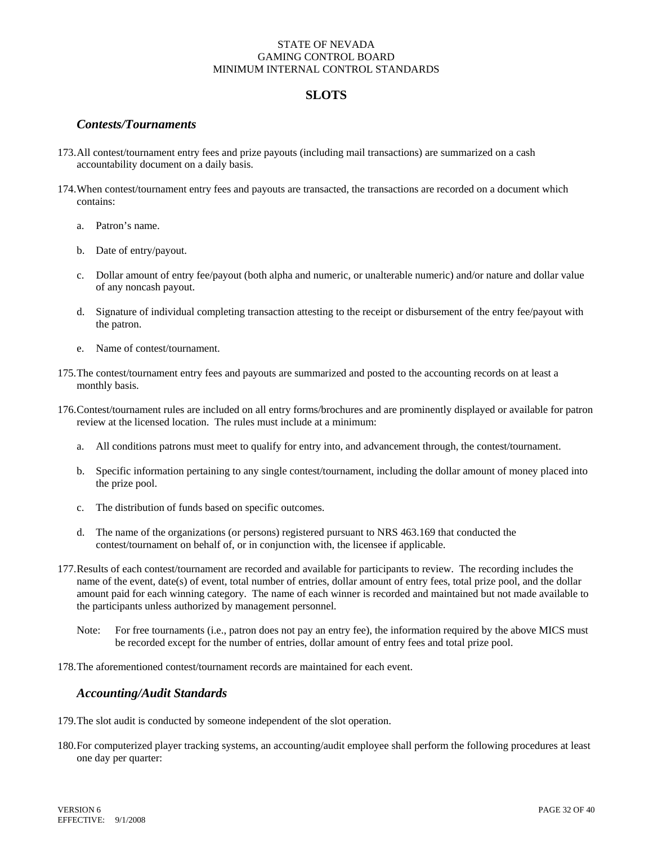### **SLOTS**

### *Contests/Tournaments*

- 173.All contest/tournament entry fees and prize payouts (including mail transactions) are summarized on a cash accountability document on a daily basis.
- 174.When contest/tournament entry fees and payouts are transacted, the transactions are recorded on a document which contains:
	- a. Patron's name.
	- b. Date of entry/payout.
	- c. Dollar amount of entry fee/payout (both alpha and numeric, or unalterable numeric) and/or nature and dollar value of any noncash payout.
	- d. Signature of individual completing transaction attesting to the receipt or disbursement of the entry fee/payout with the patron.
	- e. Name of contest/tournament.
- 175.The contest/tournament entry fees and payouts are summarized and posted to the accounting records on at least a monthly basis.
- 176.Contest/tournament rules are included on all entry forms/brochures and are prominently displayed or available for patron review at the licensed location. The rules must include at a minimum:
	- a. All conditions patrons must meet to qualify for entry into, and advancement through, the contest/tournament.
	- b. Specific information pertaining to any single contest/tournament, including the dollar amount of money placed into the prize pool.
	- c. The distribution of funds based on specific outcomes.
	- d. The name of the organizations (or persons) registered pursuant to NRS 463.169 that conducted the contest/tournament on behalf of, or in conjunction with, the licensee if applicable.
- 177.Results of each contest/tournament are recorded and available for participants to review. The recording includes the name of the event, date(s) of event, total number of entries, dollar amount of entry fees, total prize pool, and the dollar amount paid for each winning category. The name of each winner is recorded and maintained but not made available to the participants unless authorized by management personnel.
	- Note: For free tournaments (i.e., patron does not pay an entry fee), the information required by the above MICS must be recorded except for the number of entries, dollar amount of entry fees and total prize pool.
- 178.The aforementioned contest/tournament records are maintained for each event.

### *Accounting/Audit Standards*

- 179.The slot audit is conducted by someone independent of the slot operation.
- 180. For computerized player tracking systems, an accounting/audit employee shall perform the following procedures at least one day per quarter: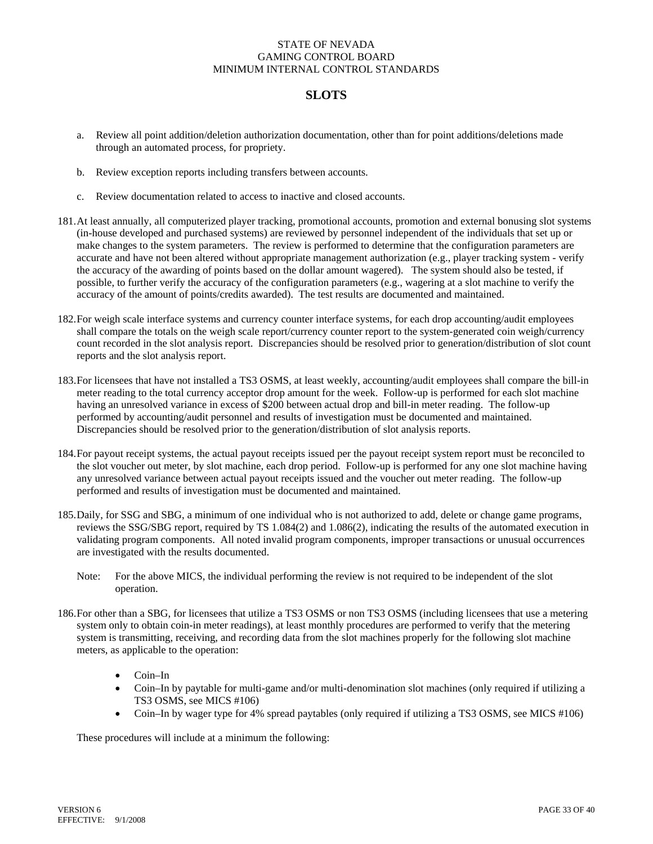# **SLOTS**

- a. Review all point addition/deletion authorization documentation, other than for point additions/deletions made through an automated process, for propriety.
- b. Review exception reports including transfers between accounts.
- c. Review documentation related to access to inactive and closed accounts.
- 181.At least annually, all computerized player tracking, promotional accounts, promotion and external bonusing slot systems (in-house developed and purchased systems) are reviewed by personnel independent of the individuals that set up or make changes to the system parameters. The review is performed to determine that the configuration parameters are accurate and have not been altered without appropriate management authorization (e.g., player tracking system - verify the accuracy of the awarding of points based on the dollar amount wagered). The system should also be tested, if possible, to further verify the accuracy of the configuration parameters (e.g., wagering at a slot machine to verify the accuracy of the amount of points/credits awarded). The test results are documented and maintained.
- 182. For weigh scale interface systems and currency counter interface systems, for each drop accounting/audit employees shall compare the totals on the weigh scale report/currency counter report to the system-generated coin weigh/currency count recorded in the slot analysis report. Discrepancies should be resolved prior to generation/distribution of slot count reports and the slot analysis report.
- 183.For licensees that have not installed a TS3 OSMS, at least weekly, accounting/audit employees shall compare the bill-in meter reading to the total currency acceptor drop amount for the week. Follow-up is performed for each slot machine having an unresolved variance in excess of \$200 between actual drop and bill-in meter reading. The follow-up performed by accounting/audit personnel and results of investigation must be documented and maintained. Discrepancies should be resolved prior to the generation/distribution of slot analysis reports.
- 184. For payout receipt systems, the actual payout receipts issued per the payout receipt system report must be reconciled to the slot voucher out meter, by slot machine, each drop period. Follow-up is performed for any one slot machine having any unresolved variance between actual payout receipts issued and the voucher out meter reading. The follow-up performed and results of investigation must be documented and maintained.
- 185.Daily, for SSG and SBG, a minimum of one individual who is not authorized to add, delete or change game programs, reviews the SSG/SBG report, required by TS 1.084(2) and 1.086(2), indicating the results of the automated execution in validating program components. All noted invalid program components, improper transactions or unusual occurrences are investigated with the results documented.
	- Note: For the above MICS, the individual performing the review is not required to be independent of the slot operation.
- 186.For other than a SBG, for licensees that utilize a TS3 OSMS or non TS3 OSMS (including licensees that use a metering system only to obtain coin-in meter readings), at least monthly procedures are performed to verify that the metering system is transmitting, receiving, and recording data from the slot machines properly for the following slot machine meters, as applicable to the operation:
	- Coin–In
	- Coin–In by paytable for multi-game and/or multi-denomination slot machines (only required if utilizing a TS3 OSMS, see MICS #106)
	- Coin–In by wager type for 4% spread paytables (only required if utilizing a TS3 OSMS, see MICS #106)

These procedures will include at a minimum the following: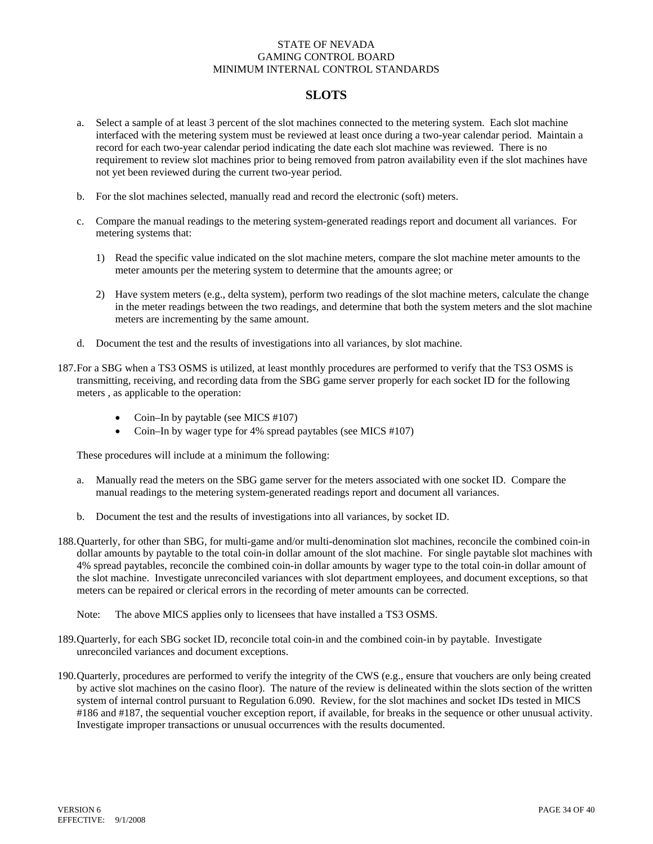# **SLOTS**

- a. Select a sample of at least 3 percent of the slot machines connected to the metering system. Each slot machine interfaced with the metering system must be reviewed at least once during a two-year calendar period. Maintain a record for each two-year calendar period indicating the date each slot machine was reviewed. There is no requirement to review slot machines prior to being removed from patron availability even if the slot machines have not yet been reviewed during the current two-year period.
- b. For the slot machines selected, manually read and record the electronic (soft) meters.
- c. Compare the manual readings to the metering system-generated readings report and document all variances. For metering systems that:
	- 1) Read the specific value indicated on the slot machine meters, compare the slot machine meter amounts to the meter amounts per the metering system to determine that the amounts agree; or
	- 2) Have system meters (e.g., delta system), perform two readings of the slot machine meters, calculate the change in the meter readings between the two readings, and determine that both the system meters and the slot machine meters are incrementing by the same amount.
- d. Document the test and the results of investigations into all variances, by slot machine.
- 187.For a SBG when a TS3 OSMS is utilized, at least monthly procedures are performed to verify that the TS3 OSMS is transmitting, receiving, and recording data from the SBG game server properly for each socket ID for the following meters , as applicable to the operation:
	- Coin–In by paytable (see MICS #107)
	- Coin–In by wager type for 4% spread paytables (see MICS #107)

These procedures will include at a minimum the following:

- a. Manually read the meters on the SBG game server for the meters associated with one socket ID. Compare the manual readings to the metering system-generated readings report and document all variances.
- b. Document the test and the results of investigations into all variances, by socket ID.
- 188.Quarterly, for other than SBG, for multi-game and/or multi-denomination slot machines, reconcile the combined coin-in dollar amounts by paytable to the total coin-in dollar amount of the slot machine. For single paytable slot machines with 4% spread paytables, reconcile the combined coin-in dollar amounts by wager type to the total coin-in dollar amount of the slot machine. Investigate unreconciled variances with slot department employees, and document exceptions, so that meters can be repaired or clerical errors in the recording of meter amounts can be corrected.
	- Note: The above MICS applies only to licensees that have installed a TS3 OSMS.
- 189. Quarterly, for each SBG socket ID, reconcile total coin-in and the combined coin-in by paytable. Investigate unreconciled variances and document exceptions.
- 190.Quarterly, procedures are performed to verify the integrity of the CWS (e.g., ensure that vouchers are only being created by active slot machines on the casino floor). The nature of the review is delineated within the slots section of the written system of internal control pursuant to Regulation 6.090. Review, for the slot machines and socket IDs tested in MICS #186 and #187, the sequential voucher exception report, if available, for breaks in the sequence or other unusual activity. Investigate improper transactions or unusual occurrences with the results documented.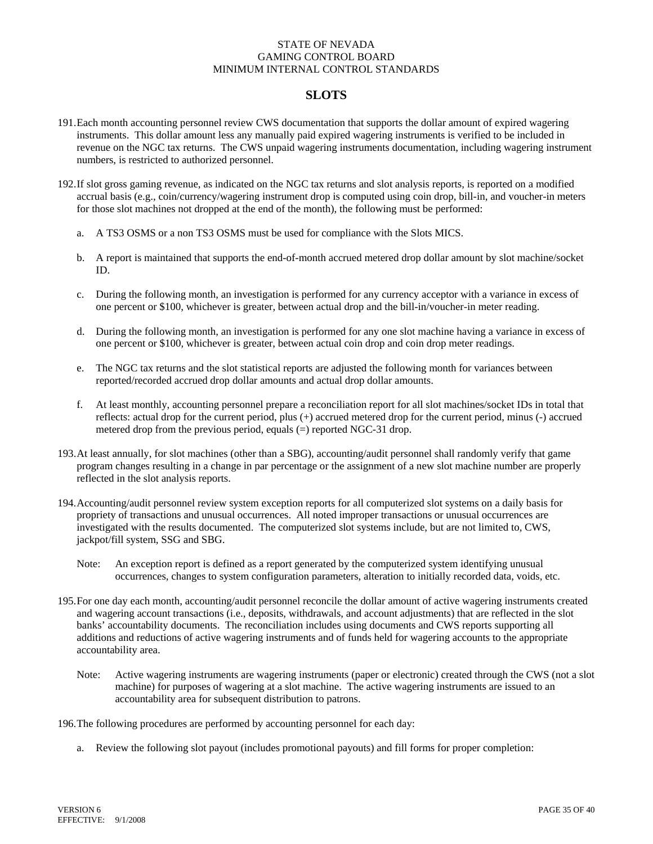## **SLOTS**

- 191.Each month accounting personnel review CWS documentation that supports the dollar amount of expired wagering instruments. This dollar amount less any manually paid expired wagering instruments is verified to be included in revenue on the NGC tax returns. The CWS unpaid wagering instruments documentation, including wagering instrument numbers, is restricted to authorized personnel.
- 192.If slot gross gaming revenue, as indicated on the NGC tax returns and slot analysis reports, is reported on a modified accrual basis (e.g., coin/currency/wagering instrument drop is computed using coin drop, bill-in, and voucher-in meters for those slot machines not dropped at the end of the month), the following must be performed:
	- a. A TS3 OSMS or a non TS3 OSMS must be used for compliance with the Slots MICS.
	- b. A report is maintained that supports the end-of-month accrued metered drop dollar amount by slot machine/socket ID.
	- c. During the following month, an investigation is performed for any currency acceptor with a variance in excess of one percent or \$100, whichever is greater, between actual drop and the bill-in/voucher-in meter reading.
	- d. During the following month, an investigation is performed for any one slot machine having a variance in excess of one percent or \$100, whichever is greater, between actual coin drop and coin drop meter readings.
	- e. The NGC tax returns and the slot statistical reports are adjusted the following month for variances between reported/recorded accrued drop dollar amounts and actual drop dollar amounts.
	- f. At least monthly, accounting personnel prepare a reconciliation report for all slot machines/socket IDs in total that reflects: actual drop for the current period, plus (+) accrued metered drop for the current period, minus (-) accrued metered drop from the previous period, equals (=) reported NGC-31 drop.
- 193.At least annually, for slot machines (other than a SBG), accounting/audit personnel shall randomly verify that game program changes resulting in a change in par percentage or the assignment of a new slot machine number are properly reflected in the slot analysis reports.
- 194.Accounting/audit personnel review system exception reports for all computerized slot systems on a daily basis for propriety of transactions and unusual occurrences. All noted improper transactions or unusual occurrences are investigated with the results documented. The computerized slot systems include, but are not limited to, CWS, jackpot/fill system, SSG and SBG.
	- Note: An exception report is defined as a report generated by the computerized system identifying unusual occurrences, changes to system configuration parameters, alteration to initially recorded data, voids, etc.
- 195.For one day each month, accounting/audit personnel reconcile the dollar amount of active wagering instruments created and wagering account transactions (i.e., deposits, withdrawals, and account adjustments) that are reflected in the slot banks' accountability documents. The reconciliation includes using documents and CWS reports supporting all additions and reductions of active wagering instruments and of funds held for wagering accounts to the appropriate accountability area.
	- Note: Active wagering instruments are wagering instruments (paper or electronic) created through the CWS (not a slot machine) for purposes of wagering at a slot machine. The active wagering instruments are issued to an accountability area for subsequent distribution to patrons.

196.The following procedures are performed by accounting personnel for each day:

a. Review the following slot payout (includes promotional payouts) and fill forms for proper completion: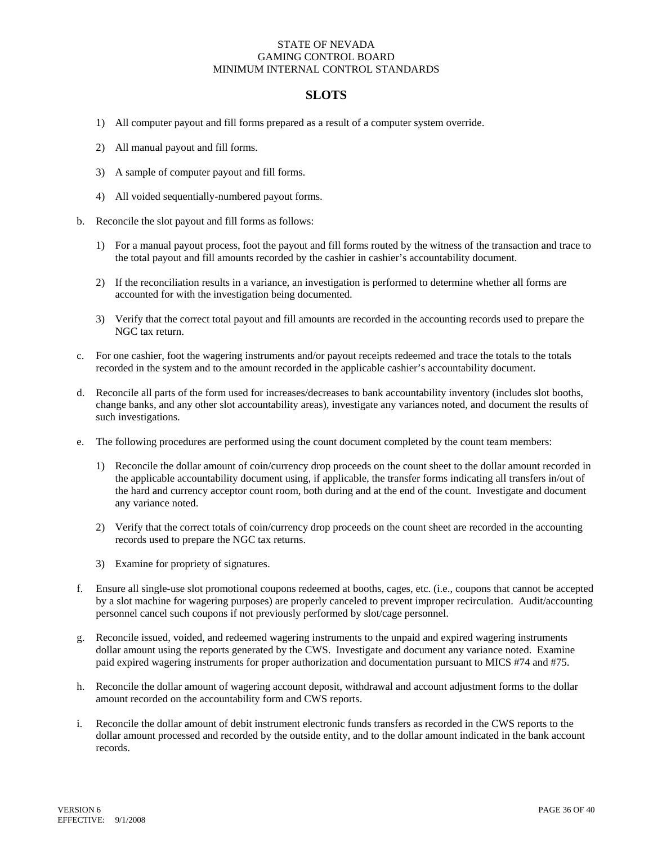# **SLOTS**

- 1) All computer payout and fill forms prepared as a result of a computer system override.
- 2) All manual payout and fill forms.
- 3) A sample of computer payout and fill forms.
- 4) All voided sequentially-numbered payout forms.
- b. Reconcile the slot payout and fill forms as follows:
	- 1) For a manual payout process, foot the payout and fill forms routed by the witness of the transaction and trace to the total payout and fill amounts recorded by the cashier in cashier's accountability document.
	- 2) If the reconciliation results in a variance, an investigation is performed to determine whether all forms are accounted for with the investigation being documented.
	- 3) Verify that the correct total payout and fill amounts are recorded in the accounting records used to prepare the NGC tax return.
- c. For one cashier, foot the wagering instruments and/or payout receipts redeemed and trace the totals to the totals recorded in the system and to the amount recorded in the applicable cashier's accountability document.
- d. Reconcile all parts of the form used for increases/decreases to bank accountability inventory (includes slot booths, change banks, and any other slot accountability areas), investigate any variances noted, and document the results of such investigations.
- e. The following procedures are performed using the count document completed by the count team members:
	- 1) Reconcile the dollar amount of coin/currency drop proceeds on the count sheet to the dollar amount recorded in the applicable accountability document using, if applicable, the transfer forms indicating all transfers in/out of the hard and currency acceptor count room, both during and at the end of the count. Investigate and document any variance noted.
	- 2) Verify that the correct totals of coin/currency drop proceeds on the count sheet are recorded in the accounting records used to prepare the NGC tax returns.
	- 3) Examine for propriety of signatures.
- f. Ensure all single-use slot promotional coupons redeemed at booths, cages, etc. (i.e., coupons that cannot be accepted by a slot machine for wagering purposes) are properly canceled to prevent improper recirculation. Audit/accounting personnel cancel such coupons if not previously performed by slot/cage personnel.
- g. Reconcile issued, voided, and redeemed wagering instruments to the unpaid and expired wagering instruments dollar amount using the reports generated by the CWS. Investigate and document any variance noted. Examine paid expired wagering instruments for proper authorization and documentation pursuant to MICS #74 and #75.
- h. Reconcile the dollar amount of wagering account deposit, withdrawal and account adjustment forms to the dollar amount recorded on the accountability form and CWS reports.
- i. Reconcile the dollar amount of debit instrument electronic funds transfers as recorded in the CWS reports to the dollar amount processed and recorded by the outside entity, and to the dollar amount indicated in the bank account records.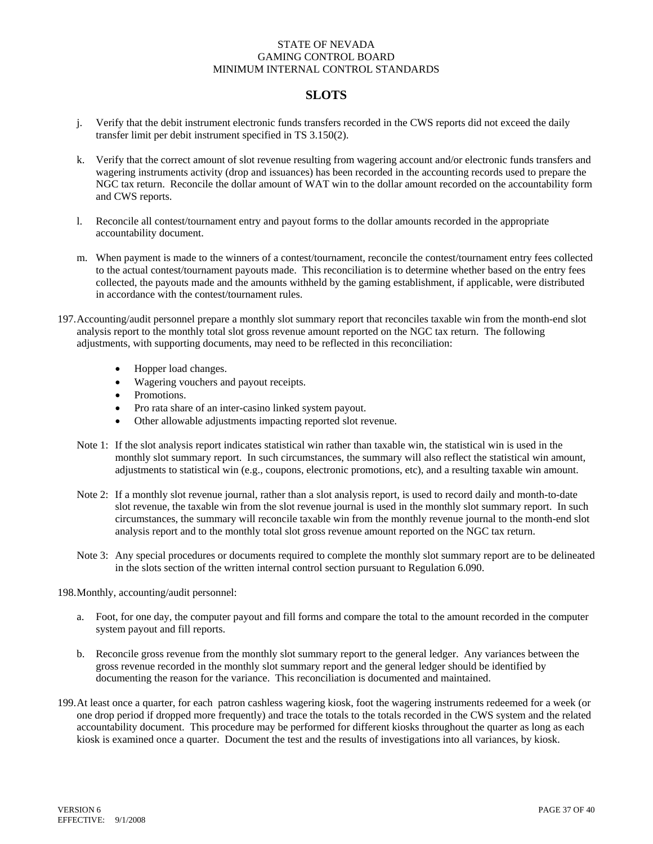# **SLOTS**

- j. Verify that the debit instrument electronic funds transfers recorded in the CWS reports did not exceed the daily transfer limit per debit instrument specified in TS 3.150(2).
- k. Verify that the correct amount of slot revenue resulting from wagering account and/or electronic funds transfers and wagering instruments activity (drop and issuances) has been recorded in the accounting records used to prepare the NGC tax return. Reconcile the dollar amount of WAT win to the dollar amount recorded on the accountability form and CWS reports.
- l. Reconcile all contest/tournament entry and payout forms to the dollar amounts recorded in the appropriate accountability document.
- m. When payment is made to the winners of a contest/tournament, reconcile the contest/tournament entry fees collected to the actual contest/tournament payouts made. This reconciliation is to determine whether based on the entry fees collected, the payouts made and the amounts withheld by the gaming establishment, if applicable, were distributed in accordance with the contest/tournament rules.
- 197.Accounting/audit personnel prepare a monthly slot summary report that reconciles taxable win from the month-end slot analysis report to the monthly total slot gross revenue amount reported on the NGC tax return. The following adjustments, with supporting documents, may need to be reflected in this reconciliation:
	- Hopper load changes.
	- Wagering vouchers and payout receipts.
	- Promotions.
	- Pro rata share of an inter-casino linked system payout.
	- Other allowable adjustments impacting reported slot revenue.
	- Note 1: If the slot analysis report indicates statistical win rather than taxable win, the statistical win is used in the monthly slot summary report. In such circumstances, the summary will also reflect the statistical win amount, adjustments to statistical win (e.g., coupons, electronic promotions, etc), and a resulting taxable win amount.
	- Note 2: If a monthly slot revenue journal, rather than a slot analysis report, is used to record daily and month-to-date slot revenue, the taxable win from the slot revenue journal is used in the monthly slot summary report. In such circumstances, the summary will reconcile taxable win from the monthly revenue journal to the month-end slot analysis report and to the monthly total slot gross revenue amount reported on the NGC tax return.
	- Note 3: Any special procedures or documents required to complete the monthly slot summary report are to be delineated in the slots section of the written internal control section pursuant to Regulation 6.090.

198. Monthly, accounting/audit personnel:

- a. Foot, for one day, the computer payout and fill forms and compare the total to the amount recorded in the computer system payout and fill reports.
- b. Reconcile gross revenue from the monthly slot summary report to the general ledger. Any variances between the gross revenue recorded in the monthly slot summary report and the general ledger should be identified by documenting the reason for the variance. This reconciliation is documented and maintained.
- 199. At least once a quarter, for each patron cashless wagering kiosk, foot the wagering instruments redeemed for a week (or one drop period if dropped more frequently) and trace the totals to the totals recorded in the CWS system and the related accountability document. This procedure may be performed for different kiosks throughout the quarter as long as each kiosk is examined once a quarter. Document the test and the results of investigations into all variances, by kiosk.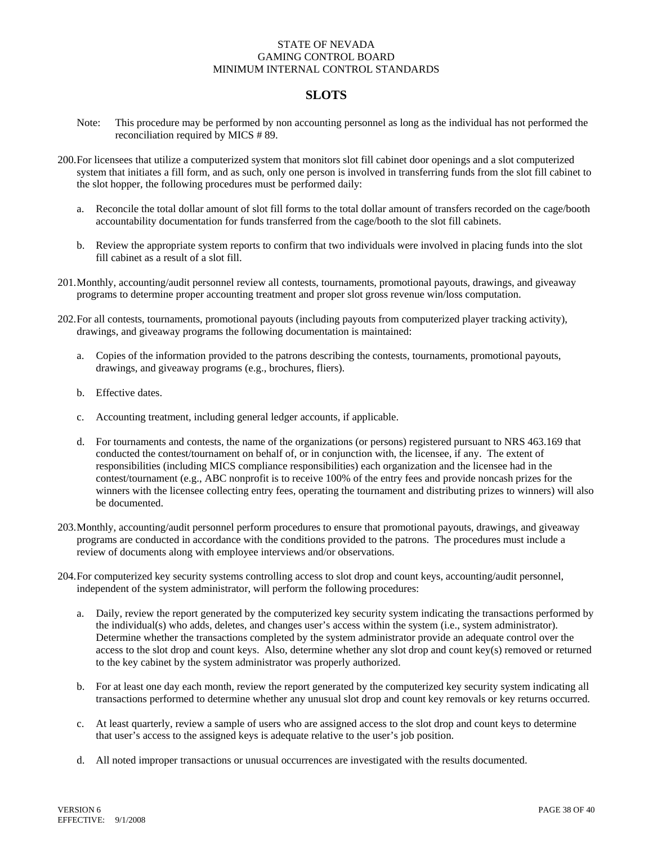### **SLOTS**

- Note: This procedure may be performed by non accounting personnel as long as the individual has not performed the reconciliation required by MICS # 89.
- 200.For licensees that utilize a computerized system that monitors slot fill cabinet door openings and a slot computerized system that initiates a fill form, and as such, only one person is involved in transferring funds from the slot fill cabinet to the slot hopper, the following procedures must be performed daily:
	- a. Reconcile the total dollar amount of slot fill forms to the total dollar amount of transfers recorded on the cage/booth accountability documentation for funds transferred from the cage/booth to the slot fill cabinets.
	- b. Review the appropriate system reports to confirm that two individuals were involved in placing funds into the slot fill cabinet as a result of a slot fill.
- 201. Monthly, accounting/audit personnel review all contests, tournaments, promotional payouts, drawings, and giveaway programs to determine proper accounting treatment and proper slot gross revenue win/loss computation.
- 202.For all contests, tournaments, promotional payouts (including payouts from computerized player tracking activity), drawings, and giveaway programs the following documentation is maintained:
	- a. Copies of the information provided to the patrons describing the contests, tournaments, promotional payouts, drawings, and giveaway programs (e.g., brochures, fliers).
	- b. Effective dates.
	- c. Accounting treatment, including general ledger accounts, if applicable.
	- d. For tournaments and contests, the name of the organizations (or persons) registered pursuant to NRS 463.169 that conducted the contest/tournament on behalf of, or in conjunction with, the licensee, if any. The extent of responsibilities (including MICS compliance responsibilities) each organization and the licensee had in the contest/tournament (e.g., ABC nonprofit is to receive 100% of the entry fees and provide noncash prizes for the winners with the licensee collecting entry fees, operating the tournament and distributing prizes to winners) will also be documented.
- 203. Monthly, accounting/audit personnel perform procedures to ensure that promotional payouts, drawings, and giveaway programs are conducted in accordance with the conditions provided to the patrons. The procedures must include a review of documents along with employee interviews and/or observations.
- 204.For computerized key security systems controlling access to slot drop and count keys, accounting/audit personnel, independent of the system administrator, will perform the following procedures:
	- a. Daily, review the report generated by the computerized key security system indicating the transactions performed by the individual(s) who adds, deletes, and changes user's access within the system (i.e., system administrator). Determine whether the transactions completed by the system administrator provide an adequate control over the access to the slot drop and count keys. Also, determine whether any slot drop and count key(s) removed or returned to the key cabinet by the system administrator was properly authorized.
	- b. For at least one day each month, review the report generated by the computerized key security system indicating all transactions performed to determine whether any unusual slot drop and count key removals or key returns occurred.
	- c. At least quarterly, review a sample of users who are assigned access to the slot drop and count keys to determine that user's access to the assigned keys is adequate relative to the user's job position.
	- d. All noted improper transactions or unusual occurrences are investigated with the results documented.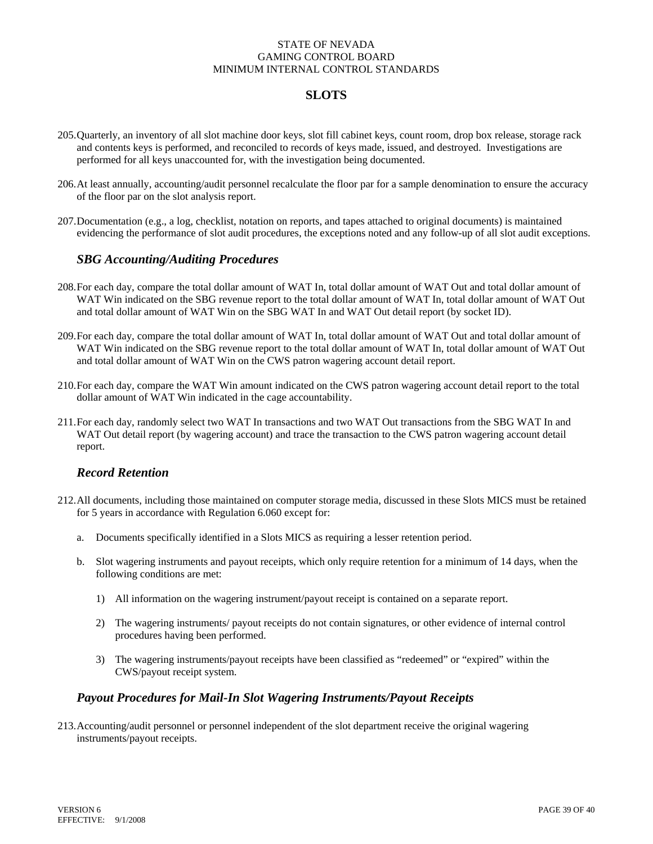# **SLOTS**

- 205.Quarterly, an inventory of all slot machine door keys, slot fill cabinet keys, count room, drop box release, storage rack and contents keys is performed, and reconciled to records of keys made, issued, and destroyed. Investigations are performed for all keys unaccounted for, with the investigation being documented.
- 206. At least annually, accounting/audit personnel recalculate the floor par for a sample denomination to ensure the accuracy of the floor par on the slot analysis report.
- 207.Documentation (e.g., a log, checklist, notation on reports, and tapes attached to original documents) is maintained evidencing the performance of slot audit procedures, the exceptions noted and any follow-up of all slot audit exceptions.

### *SBG Accounting/Auditing Procedures*

- 208.For each day, compare the total dollar amount of WAT In, total dollar amount of WAT Out and total dollar amount of WAT Win indicated on the SBG revenue report to the total dollar amount of WAT In, total dollar amount of WAT Out and total dollar amount of WAT Win on the SBG WAT In and WAT Out detail report (by socket ID).
- 209.For each day, compare the total dollar amount of WAT In, total dollar amount of WAT Out and total dollar amount of WAT Win indicated on the SBG revenue report to the total dollar amount of WAT In, total dollar amount of WAT Out and total dollar amount of WAT Win on the CWS patron wagering account detail report.
- 210.For each day, compare the WAT Win amount indicated on the CWS patron wagering account detail report to the total dollar amount of WAT Win indicated in the cage accountability.
- 211.For each day, randomly select two WAT In transactions and two WAT Out transactions from the SBG WAT In and WAT Out detail report (by wagering account) and trace the transaction to the CWS patron wagering account detail report.

### *Record Retention*

- 212.All documents, including those maintained on computer storage media, discussed in these Slots MICS must be retained for 5 years in accordance with Regulation 6.060 except for:
	- a. Documents specifically identified in a Slots MICS as requiring a lesser retention period.
	- b. Slot wagering instruments and payout receipts, which only require retention for a minimum of 14 days, when the following conditions are met:
		- 1) All information on the wagering instrument/payout receipt is contained on a separate report.
		- 2) The wagering instruments/ payout receipts do not contain signatures, or other evidence of internal control procedures having been performed.
		- 3) The wagering instruments/payout receipts have been classified as "redeemed" or "expired" within the CWS/payout receipt system.

### *Payout Procedures for Mail-In Slot Wagering Instruments/Payout Receipts*

213. Accounting/audit personnel or personnel independent of the slot department receive the original wagering instruments/payout receipts.